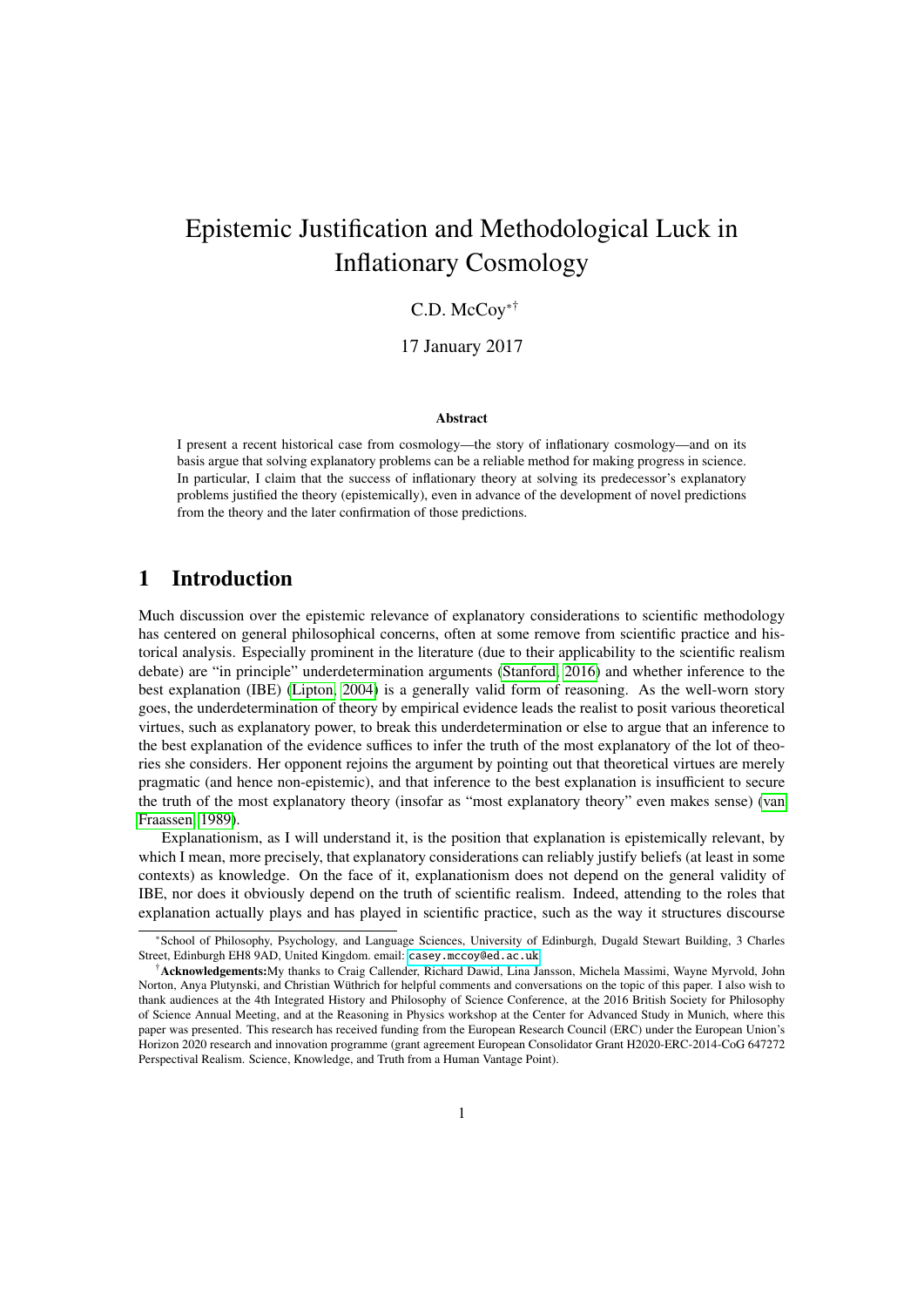# Epistemic Justification and Methodological Luck in Inflationary Cosmology

## C.D. McCoy∗†

17 January 2017

#### Abstract

I present a recent historical case from cosmology—the story of inflationary cosmology—and on its basis argue that solving explanatory problems can be a reliable method for making progress in science. In particular, I claim that the success of inflationary theory at solving its predecessor's explanatory problems justified the theory (epistemically), even in advance of the development of novel predictions from the theory and the later confirmation of those predictions.

## 1 Introduction

Much discussion over the epistemic relevance of explanatory considerations to scientific methodology has centered on general philosophical concerns, often at some remove from scientific practice and historical analysis. Especially prominent in the literature (due to their applicability to the scientific realism debate) are "in principle" underdetermination arguments [\(Stanford, 2016\)](#page-15-0) and whether inference to the best explanation (IBE) [\(Lipton, 2004\)](#page-14-0) is a generally valid form of reasoning. As the well-worn story goes, the underdetermination of theory by empirical evidence leads the realist to posit various theoretical virtues, such as explanatory power, to break this underdetermination or else to argue that an inference to the best explanation of the evidence suffices to infer the truth of the most explanatory of the lot of theories she considers. Her opponent rejoins the argument by pointing out that theoretical virtues are merely pragmatic (and hence non-epistemic), and that inference to the best explanation is insufficient to secure the truth of the most explanatory theory (insofar as "most explanatory theory" even makes sense) [\(van](#page-15-1) [Fraassen, 1989\)](#page-15-1).

Explanationism, as I will understand it, is the position that explanation is epistemically relevant, by which I mean, more precisely, that explanatory considerations can reliably justify beliefs (at least in some contexts) as knowledge. On the face of it, explanationism does not depend on the general validity of IBE, nor does it obviously depend on the truth of scientific realism. Indeed, attending to the roles that explanation actually plays and has played in scientific practice, such as the way it structures discourse

<sup>∗</sup>School of Philosophy, Psychology, and Language Sciences, University of Edinburgh, Dugald Stewart Building, 3 Charles Street, Edinburgh EH8 9AD, United Kingdom. email: [casey.mccoy@ed.ac.uk](mailto:casey.mccoy@ed.ac.uk)

<sup>†</sup>Acknowledgements:My thanks to Craig Callender, Richard Dawid, Lina Jansson, Michela Massimi, Wayne Myrvold, John Norton, Anya Plutynski, and Christian Wüthrich for helpful comments and conversations on the topic of this paper. I also wish to thank audiences at the 4th Integrated History and Philosophy of Science Conference, at the 2016 British Society for Philosophy of Science Annual Meeting, and at the Reasoning in Physics workshop at the Center for Advanced Study in Munich, where this paper was presented. This research has received funding from the European Research Council (ERC) under the European Union's Horizon 2020 research and innovation programme (grant agreement European Consolidator Grant H2020-ERC-2014-CoG 647272 Perspectival Realism. Science, Knowledge, and Truth from a Human Vantage Point).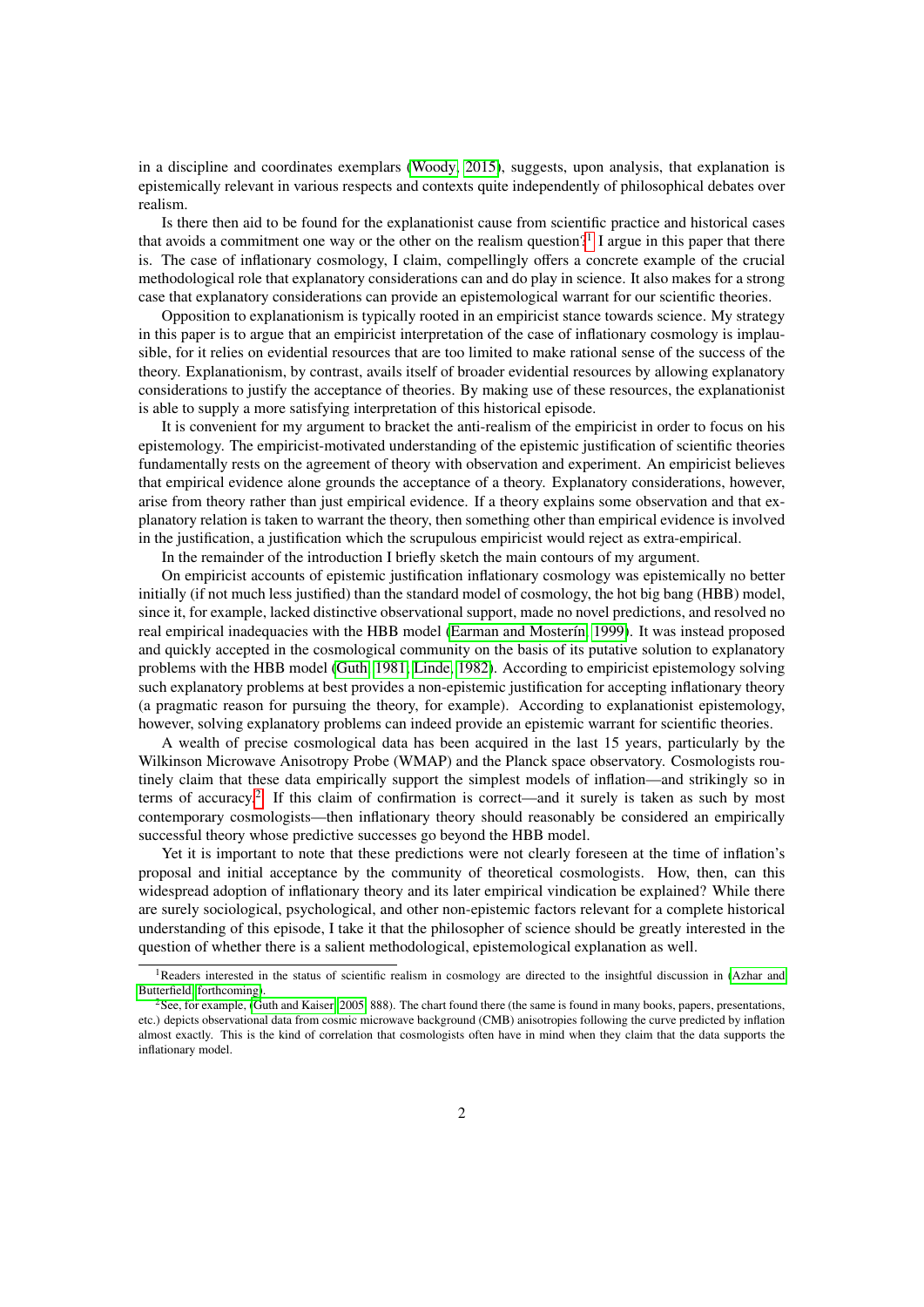in a discipline and coordinates exemplars [\(Woody, 2015\)](#page-16-0), suggests, upon analysis, that explanation is epistemically relevant in various respects and contexts quite independently of philosophical debates over realism.

Is there then aid to be found for the explanationist cause from scientific practice and historical cases that avoids a commitment one way or the other on the realism question?<sup>[1](#page-1-0)</sup> I argue in this paper that there is. The case of inflationary cosmology, I claim, compellingly offers a concrete example of the crucial methodological role that explanatory considerations can and do play in science. It also makes for a strong case that explanatory considerations can provide an epistemological warrant for our scientific theories.

Opposition to explanationism is typically rooted in an empiricist stance towards science. My strategy in this paper is to argue that an empiricist interpretation of the case of inflationary cosmology is implausible, for it relies on evidential resources that are too limited to make rational sense of the success of the theory. Explanationism, by contrast, avails itself of broader evidential resources by allowing explanatory considerations to justify the acceptance of theories. By making use of these resources, the explanationist is able to supply a more satisfying interpretation of this historical episode.

It is convenient for my argument to bracket the anti-realism of the empiricist in order to focus on his epistemology. The empiricist-motivated understanding of the epistemic justification of scientific theories fundamentally rests on the agreement of theory with observation and experiment. An empiricist believes that empirical evidence alone grounds the acceptance of a theory. Explanatory considerations, however, arise from theory rather than just empirical evidence. If a theory explains some observation and that explanatory relation is taken to warrant the theory, then something other than empirical evidence is involved in the justification, a justification which the scrupulous empiricist would reject as extra-empirical.

In the remainder of the introduction I briefly sketch the main contours of my argument.

On empiricist accounts of epistemic justification inflationary cosmology was epistemically no better initially (if not much less justified) than the standard model of cosmology, the hot big bang (HBB) model, since it, for example, lacked distinctive observational support, made no novel predictions, and resolved no real empirical inadequacies with the HBB model [\(Earman and Moster´ın, 1999\)](#page-13-0). It was instead proposed and quickly accepted in the cosmological community on the basis of its putative solution to explanatory problems with the HBB model [\(Guth, 1981;](#page-13-1) [Linde, 1982\)](#page-14-1). According to empiricist epistemology solving such explanatory problems at best provides a non-epistemic justification for accepting inflationary theory (a pragmatic reason for pursuing the theory, for example). According to explanationist epistemology, however, solving explanatory problems can indeed provide an epistemic warrant for scientific theories.

A wealth of precise cosmological data has been acquired in the last 15 years, particularly by the Wilkinson Microwave Anisotropy Probe (WMAP) and the Planck space observatory. Cosmologists routinely claim that these data empirically support the simplest models of inflation—and strikingly so in terms of accuracy.<sup>[2](#page-1-1)</sup> If this claim of confirmation is correct—and it surely is taken as such by most contemporary cosmologists—then inflationary theory should reasonably be considered an empirically successful theory whose predictive successes go beyond the HBB model.

Yet it is important to note that these predictions were not clearly foreseen at the time of inflation's proposal and initial acceptance by the community of theoretical cosmologists. How, then, can this widespread adoption of inflationary theory and its later empirical vindication be explained? While there are surely sociological, psychological, and other non-epistemic factors relevant for a complete historical understanding of this episode, I take it that the philosopher of science should be greatly interested in the question of whether there is a salient methodological, epistemological explanation as well.

<span id="page-1-0"></span><sup>&</sup>lt;sup>1</sup>Readers interested in the status of scientific realism in cosmology are directed to the insightful discussion in [\(Azhar and](#page-12-0) [Butterfield, forthcoming\)](#page-12-0).

<span id="page-1-1"></span> $2$ See, for example, [\(Guth and Kaiser, 2005,](#page-13-2) 888). The chart found there (the same is found in many books, papers, presentations, etc.) depicts observational data from cosmic microwave background (CMB) anisotropies following the curve predicted by inflation almost exactly. This is the kind of correlation that cosmologists often have in mind when they claim that the data supports the inflationary model.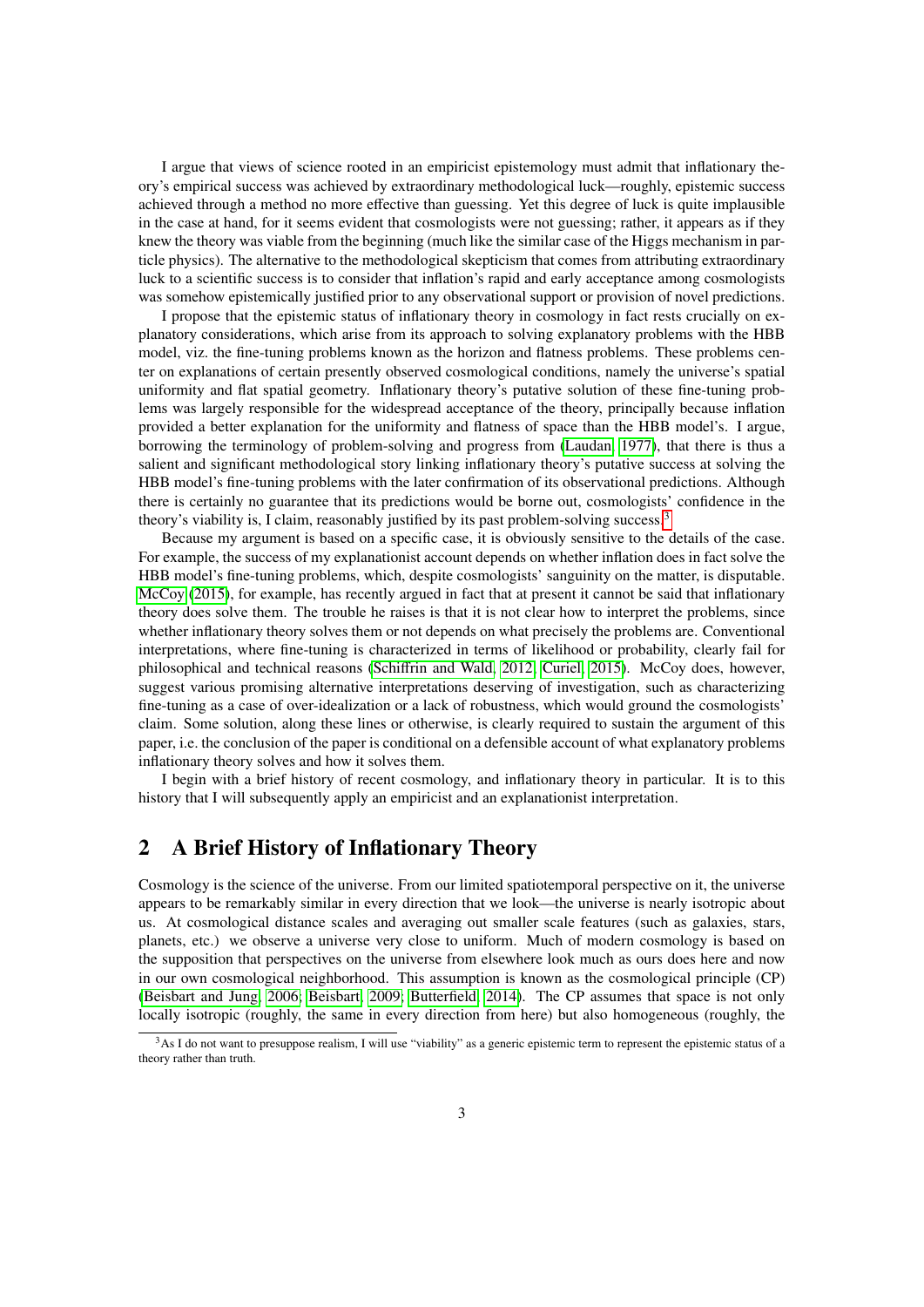I argue that views of science rooted in an empiricist epistemology must admit that inflationary theory's empirical success was achieved by extraordinary methodological luck—roughly, epistemic success achieved through a method no more effective than guessing. Yet this degree of luck is quite implausible in the case at hand, for it seems evident that cosmologists were not guessing; rather, it appears as if they knew the theory was viable from the beginning (much like the similar case of the Higgs mechanism in particle physics). The alternative to the methodological skepticism that comes from attributing extraordinary luck to a scientific success is to consider that inflation's rapid and early acceptance among cosmologists was somehow epistemically justified prior to any observational support or provision of novel predictions.

I propose that the epistemic status of inflationary theory in cosmology in fact rests crucially on explanatory considerations, which arise from its approach to solving explanatory problems with the HBB model, viz. the fine-tuning problems known as the horizon and flatness problems. These problems center on explanations of certain presently observed cosmological conditions, namely the universe's spatial uniformity and flat spatial geometry. Inflationary theory's putative solution of these fine-tuning problems was largely responsible for the widespread acceptance of the theory, principally because inflation provided a better explanation for the uniformity and flatness of space than the HBB model's. I argue, borrowing the terminology of problem-solving and progress from [\(Laudan, 1977\)](#page-14-2), that there is thus a salient and significant methodological story linking inflationary theory's putative success at solving the HBB model's fine-tuning problems with the later confirmation of its observational predictions. Although there is certainly no guarantee that its predictions would be borne out, cosmologists' confidence in the theory's viability is, I claim, reasonably justified by its past problem-solving success.<sup>[3](#page-2-0)</sup>

Because my argument is based on a specific case, it is obviously sensitive to the details of the case. For example, the success of my explanationist account depends on whether inflation does in fact solve the HBB model's fine-tuning problems, which, despite cosmologists' sanguinity on the matter, is disputable. [McCoy](#page-14-3) [\(2015\)](#page-14-3), for example, has recently argued in fact that at present it cannot be said that inflationary theory does solve them. The trouble he raises is that it is not clear how to interpret the problems, since whether inflationary theory solves them or not depends on what precisely the problems are. Conventional interpretations, where fine-tuning is characterized in terms of likelihood or probability, clearly fail for philosophical and technical reasons (Schiff[rin and Wald, 2012;](#page-15-2) [Curiel, 2015\)](#page-13-3). McCoy does, however, suggest various promising alternative interpretations deserving of investigation, such as characterizing fine-tuning as a case of over-idealization or a lack of robustness, which would ground the cosmologists' claim. Some solution, along these lines or otherwise, is clearly required to sustain the argument of this paper, i.e. the conclusion of the paper is conditional on a defensible account of what explanatory problems inflationary theory solves and how it solves them.

I begin with a brief history of recent cosmology, and inflationary theory in particular. It is to this history that I will subsequently apply an empiricist and an explanationist interpretation.

# 2 A Brief History of Inflationary Theory

Cosmology is the science of the universe. From our limited spatiotemporal perspective on it, the universe appears to be remarkably similar in every direction that we look—the universe is nearly isotropic about us. At cosmological distance scales and averaging out smaller scale features (such as galaxies, stars, planets, etc.) we observe a universe very close to uniform. Much of modern cosmology is based on the supposition that perspectives on the universe from elsewhere look much as ours does here and now in our own cosmological neighborhood. This assumption is known as the cosmological principle (CP) [\(Beisbart and Jung, 2006;](#page-12-1) [Beisbart, 2009;](#page-12-2) [Butterfield, 2014\)](#page-12-3). The CP assumes that space is not only locally isotropic (roughly, the same in every direction from here) but also homogeneous (roughly, the

<span id="page-2-0"></span><sup>&</sup>lt;sup>3</sup>As I do not want to presuppose realism, I will use "viability" as a generic epistemic term to represent the epistemic status of a theory rather than truth.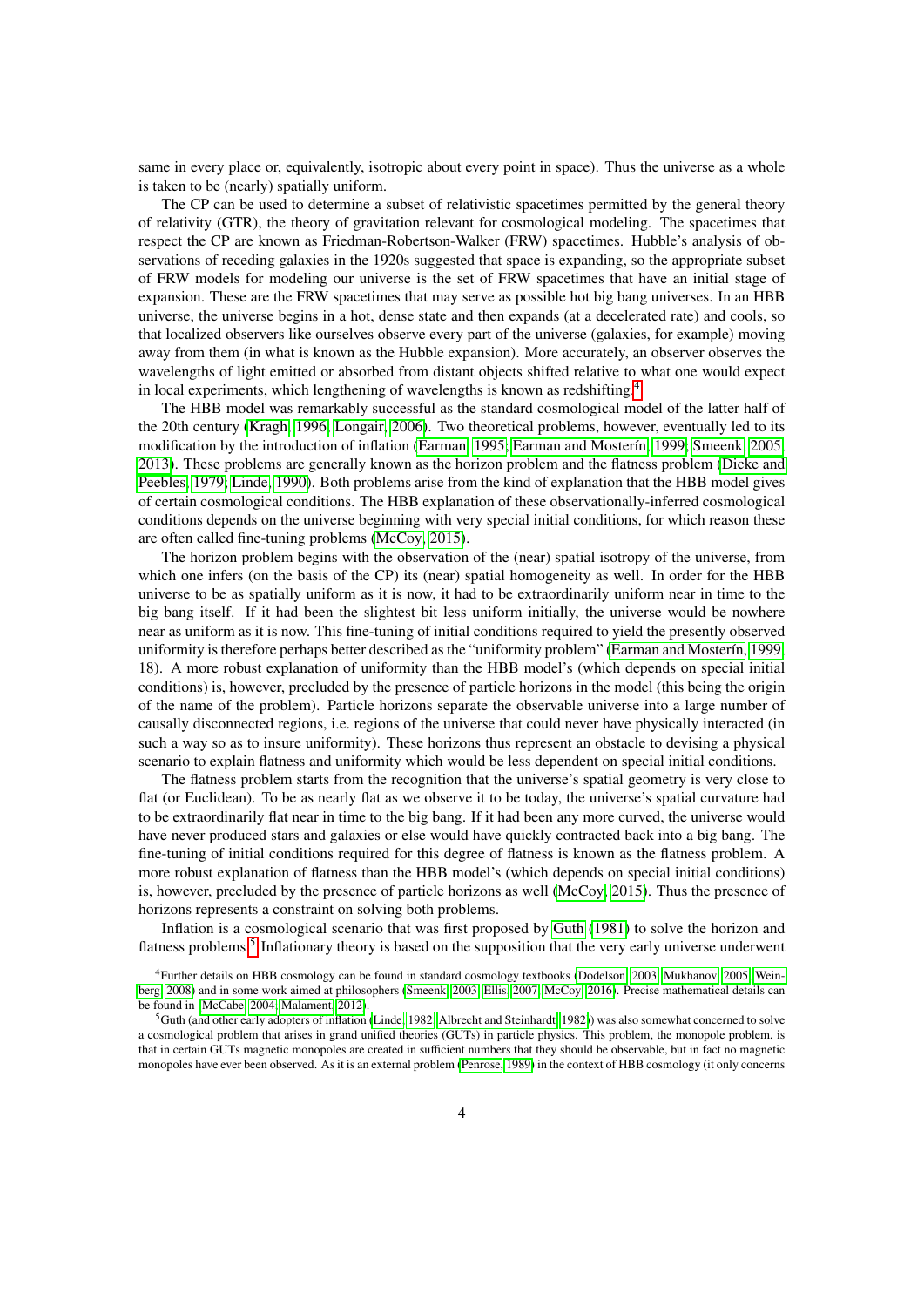same in every place or, equivalently, isotropic about every point in space). Thus the universe as a whole is taken to be (nearly) spatially uniform.

The CP can be used to determine a subset of relativistic spacetimes permitted by the general theory of relativity (GTR), the theory of gravitation relevant for cosmological modeling. The spacetimes that respect the CP are known as Friedman-Robertson-Walker (FRW) spacetimes. Hubble's analysis of observations of receding galaxies in the 1920s suggested that space is expanding, so the appropriate subset of FRW models for modeling our universe is the set of FRW spacetimes that have an initial stage of expansion. These are the FRW spacetimes that may serve as possible hot big bang universes. In an HBB universe, the universe begins in a hot, dense state and then expands (at a decelerated rate) and cools, so that localized observers like ourselves observe every part of the universe (galaxies, for example) moving away from them (in what is known as the Hubble expansion). More accurately, an observer observes the wavelengths of light emitted or absorbed from distant objects shifted relative to what one would expect in local experiments, which lengthening of wavelengths is known as redshifting.<sup>[4](#page-3-0)</sup>

The HBB model was remarkably successful as the standard cosmological model of the latter half of the 20th century [\(Kragh, 1996;](#page-14-4) [Longair, 2006\)](#page-14-5). Two theoretical problems, however, eventually led to its modification by the introduction of inflation [\(Earman, 1995;](#page-13-4) Earman and Mosterín, 1999; [Smeenk, 2005,](#page-15-3) [2013\)](#page-15-4). These problems are generally known as the horizon problem and the flatness problem [\(Dicke and](#page-13-5) [Peebles, 1979;](#page-13-5) [Linde, 1990\)](#page-14-6). Both problems arise from the kind of explanation that the HBB model gives of certain cosmological conditions. The HBB explanation of these observationally-inferred cosmological conditions depends on the universe beginning with very special initial conditions, for which reason these are often called fine-tuning problems [\(McCoy, 2015\)](#page-14-3).

The horizon problem begins with the observation of the (near) spatial isotropy of the universe, from which one infers (on the basis of the CP) its (near) spatial homogeneity as well. In order for the HBB universe to be as spatially uniform as it is now, it had to be extraordinarily uniform near in time to the big bang itself. If it had been the slightest bit less uniform initially, the universe would be nowhere near as uniform as it is now. This fine-tuning of initial conditions required to yield the presently observed uniformity is therefore perhaps better described as the "uniformity problem" (Earman and Mosterín, 1999, 18). A more robust explanation of uniformity than the HBB model's (which depends on special initial conditions) is, however, precluded by the presence of particle horizons in the model (this being the origin of the name of the problem). Particle horizons separate the observable universe into a large number of causally disconnected regions, i.e. regions of the universe that could never have physically interacted (in such a way so as to insure uniformity). These horizons thus represent an obstacle to devising a physical scenario to explain flatness and uniformity which would be less dependent on special initial conditions.

The flatness problem starts from the recognition that the universe's spatial geometry is very close to flat (or Euclidean). To be as nearly flat as we observe it to be today, the universe's spatial curvature had to be extraordinarily flat near in time to the big bang. If it had been any more curved, the universe would have never produced stars and galaxies or else would have quickly contracted back into a big bang. The fine-tuning of initial conditions required for this degree of flatness is known as the flatness problem. A more robust explanation of flatness than the HBB model's (which depends on special initial conditions) is, however, precluded by the presence of particle horizons as well [\(McCoy, 2015\)](#page-14-3). Thus the presence of horizons represents a constraint on solving both problems.

Inflation is a cosmological scenario that was first proposed by [Guth](#page-13-1) [\(1981\)](#page-13-1) to solve the horizon and flatness problems.<sup>[5](#page-3-1)</sup> Inflationary theory is based on the supposition that the very early universe underwent

<span id="page-3-0"></span><sup>4</sup>Further details on HBB cosmology can be found in standard cosmology textbooks [\(Dodelson, 2003;](#page-13-6) [Mukhanov, 2005;](#page-14-7) [Wein](#page-15-5)[berg, 2008\)](#page-15-5) and in some work aimed at philosophers [\(Smeenk, 2003;](#page-15-6) [Ellis, 2007;](#page-13-7) [McCoy, 2016\)](#page-14-8). Precise mathematical details can be found in [\(McCabe, 2004;](#page-14-9) [Malament, 2012\)](#page-14-10).

<span id="page-3-1"></span> ${}^5$ Guth (and other early adopters of inflation [\(Linde, 1982;](#page-14-1) [Albrecht and Steinhardt, 1982\)](#page-12-4)) was also somewhat concerned to solve a cosmological problem that arises in grand unified theories (GUTs) in particle physics. This problem, the monopole problem, is that in certain GUTs magnetic monopoles are created in sufficient numbers that they should be observable, but in fact no magnetic monopoles have ever been observed. As it is an external problem [\(Penrose, 1989\)](#page-15-7) in the context of HBB cosmology (it only concerns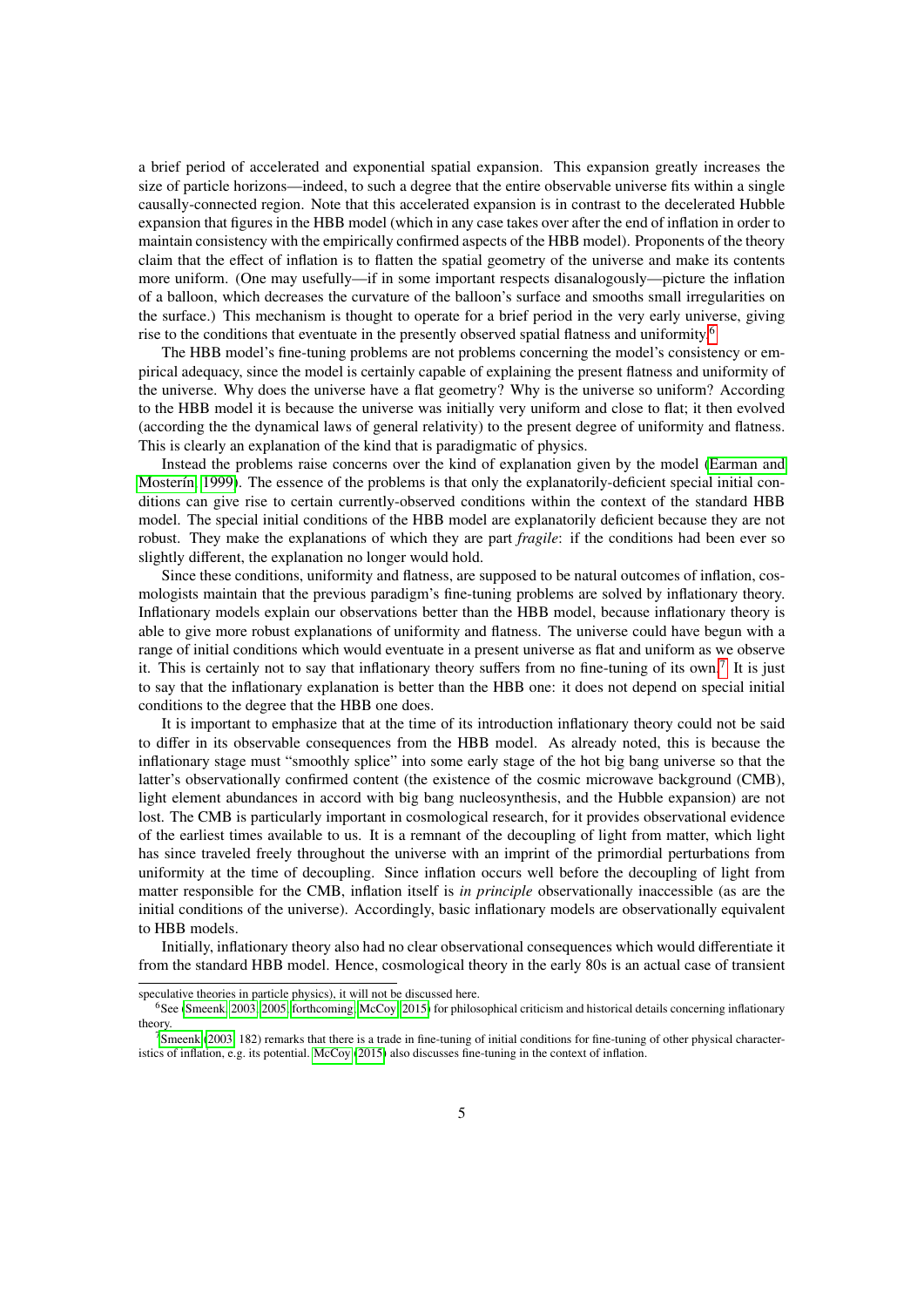a brief period of accelerated and exponential spatial expansion. This expansion greatly increases the size of particle horizons—indeed, to such a degree that the entire observable universe fits within a single causally-connected region. Note that this accelerated expansion is in contrast to the decelerated Hubble expansion that figures in the HBB model (which in any case takes over after the end of inflation in order to maintain consistency with the empirically confirmed aspects of the HBB model). Proponents of the theory claim that the effect of inflation is to flatten the spatial geometry of the universe and make its contents more uniform. (One may usefully—if in some important respects disanalogously—picture the inflation of a balloon, which decreases the curvature of the balloon's surface and smooths small irregularities on the surface.) This mechanism is thought to operate for a brief period in the very early universe, giving rise to the conditions that eventuate in the presently observed spatial flatness and uniformity.<sup>[6](#page-4-0)</sup>

The HBB model's fine-tuning problems are not problems concerning the model's consistency or empirical adequacy, since the model is certainly capable of explaining the present flatness and uniformity of the universe. Why does the universe have a flat geometry? Why is the universe so uniform? According to the HBB model it is because the universe was initially very uniform and close to flat; it then evolved (according the the dynamical laws of general relativity) to the present degree of uniformity and flatness. This is clearly an explanation of the kind that is paradigmatic of physics.

Instead the problems raise concerns over the kind of explanation given by the model [\(Earman and](#page-13-0) Mosterín, 1999). The essence of the problems is that only the explanatorily-deficient special initial conditions can give rise to certain currently-observed conditions within the context of the standard HBB model. The special initial conditions of the HBB model are explanatorily deficient because they are not robust. They make the explanations of which they are part *fragile*: if the conditions had been ever so slightly different, the explanation no longer would hold.

Since these conditions, uniformity and flatness, are supposed to be natural outcomes of inflation, cosmologists maintain that the previous paradigm's fine-tuning problems are solved by inflationary theory. Inflationary models explain our observations better than the HBB model, because inflationary theory is able to give more robust explanations of uniformity and flatness. The universe could have begun with a range of initial conditions which would eventuate in a present universe as flat and uniform as we observe it. This is certainly not to say that inflationary theory suffers from no fine-tuning of its own.<sup>[7](#page-4-1)</sup> It is just to say that the inflationary explanation is better than the HBB one: it does not depend on special initial conditions to the degree that the HBB one does.

It is important to emphasize that at the time of its introduction inflationary theory could not be said to differ in its observable consequences from the HBB model. As already noted, this is because the inflationary stage must "smoothly splice" into some early stage of the hot big bang universe so that the latter's observationally confirmed content (the existence of the cosmic microwave background (CMB), light element abundances in accord with big bang nucleosynthesis, and the Hubble expansion) are not lost. The CMB is particularly important in cosmological research, for it provides observational evidence of the earliest times available to us. It is a remnant of the decoupling of light from matter, which light has since traveled freely throughout the universe with an imprint of the primordial perturbations from uniformity at the time of decoupling. Since inflation occurs well before the decoupling of light from matter responsible for the CMB, inflation itself is *in principle* observationally inaccessible (as are the initial conditions of the universe). Accordingly, basic inflationary models are observationally equivalent to HBB models.

Initially, inflationary theory also had no clear observational consequences which would differentiate it from the standard HBB model. Hence, cosmological theory in the early 80s is an actual case of transient

speculative theories in particle physics), it will not be discussed here.

<span id="page-4-0"></span><sup>6</sup>See [\(Smeenk, 2003,](#page-15-6) [2005,](#page-15-3) [forthcoming;](#page-15-8) [McCoy, 2015\)](#page-14-3) for philosophical criticism and historical details concerning inflationary theory.

<span id="page-4-1"></span> $7$ [Smeenk](#page-15-6) [\(2003,](#page-15-6) 182) remarks that there is a trade in fine-tuning of initial conditions for fine-tuning of other physical character-istics of inflation, e.g. its potential. [McCoy](#page-14-3) [\(2015\)](#page-14-3) also discusses fine-tuning in the context of inflation.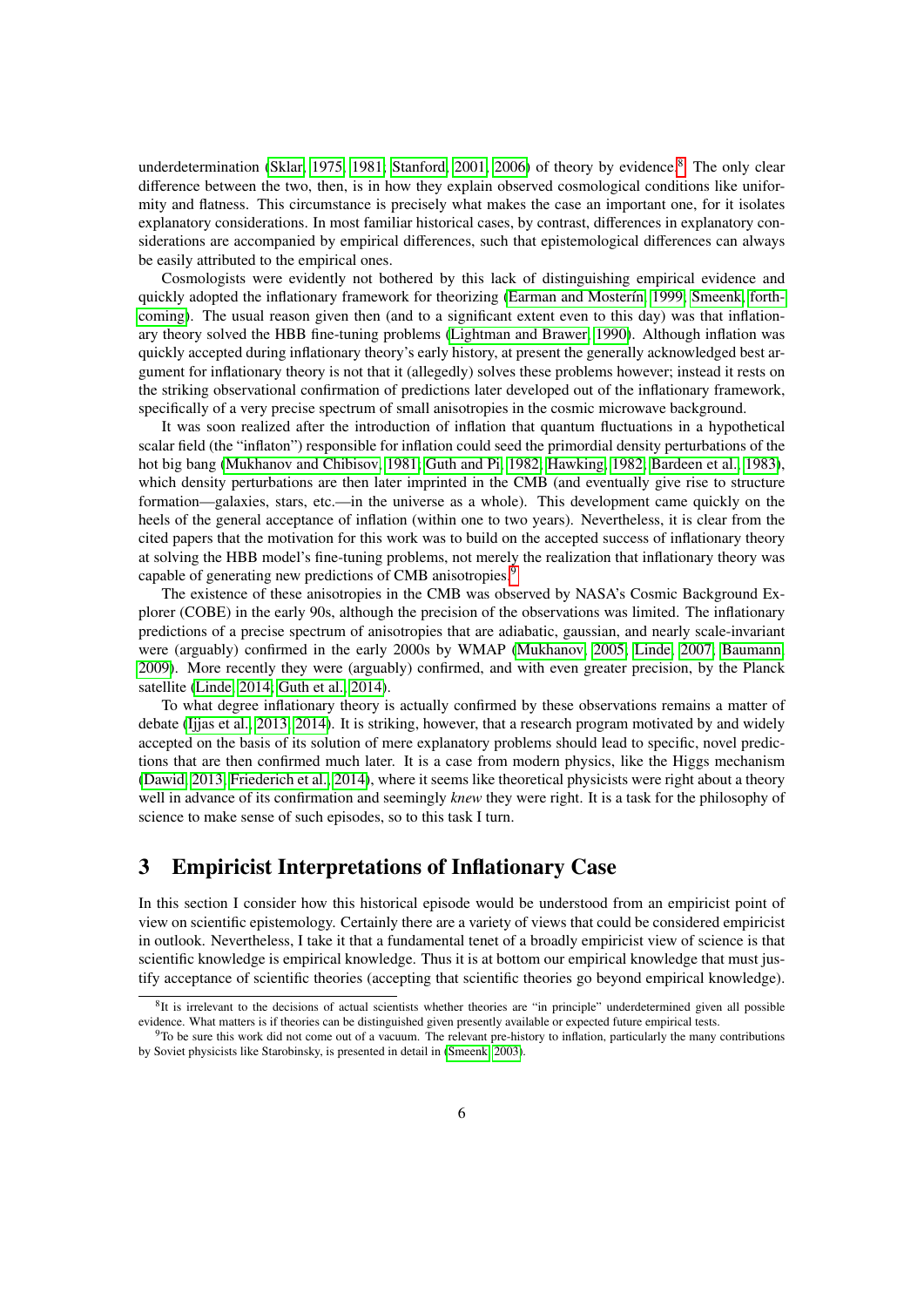underdetermination [\(Sklar, 1975,](#page-15-9) [1981;](#page-15-10) [Stanford, 2001,](#page-15-11) [2006\)](#page-15-12) of theory by evidence.<sup>[8](#page-5-0)</sup> The only clear difference between the two, then, is in how they explain observed cosmological conditions like uniformity and flatness. This circumstance is precisely what makes the case an important one, for it isolates explanatory considerations. In most familiar historical cases, by contrast, differences in explanatory considerations are accompanied by empirical differences, such that epistemological differences can always be easily attributed to the empirical ones.

Cosmologists were evidently not bothered by this lack of distinguishing empirical evidence and quickly adopted the inflationary framework for theorizing (Earman and Mosterín, 1999; [Smeenk, forth](#page-15-8)[coming\)](#page-15-8). The usual reason given then (and to a significant extent even to this day) was that inflationary theory solved the HBB fine-tuning problems [\(Lightman and Brawer, 1990\)](#page-14-11). Although inflation was quickly accepted during inflationary theory's early history, at present the generally acknowledged best argument for inflationary theory is not that it (allegedly) solves these problems however; instead it rests on the striking observational confirmation of predictions later developed out of the inflationary framework, specifically of a very precise spectrum of small anisotropies in the cosmic microwave background.

It was soon realized after the introduction of inflation that quantum fluctuations in a hypothetical scalar field (the "inflaton") responsible for inflation could seed the primordial density perturbations of the hot big bang [\(Mukhanov and Chibisov, 1981;](#page-14-12) [Guth and Pi, 1982;](#page-13-8) [Hawking, 1982;](#page-13-9) [Bardeen et al., 1983\)](#page-12-5), which density perturbations are then later imprinted in the CMB (and eventually give rise to structure formation—galaxies, stars, etc.—in the universe as a whole). This development came quickly on the heels of the general acceptance of inflation (within one to two years). Nevertheless, it is clear from the cited papers that the motivation for this work was to build on the accepted success of inflationary theory at solving the HBB model's fine-tuning problems, not merely the realization that inflationary theory was capable of generating new predictions of CMB anisotropies.<sup>[9](#page-5-1)</sup>

The existence of these anisotropies in the CMB was observed by NASA's Cosmic Background Explorer (COBE) in the early 90s, although the precision of the observations was limited. The inflationary predictions of a precise spectrum of anisotropies that are adiabatic, gaussian, and nearly scale-invariant were (arguably) confirmed in the early 2000s by WMAP [\(Mukhanov, 2005;](#page-14-7) [Linde, 2007;](#page-14-13) [Baumann,](#page-12-6) [2009\)](#page-12-6). More recently they were (arguably) confirmed, and with even greater precision, by the Planck satellite [\(Linde, 2014;](#page-14-14) [Guth et al., 2014\)](#page-13-10).

To what degree inflationary theory is actually confirmed by these observations remains a matter of debate [\(Ijjas et al., 2013,](#page-13-11) [2014\)](#page-13-12). It is striking, however, that a research program motivated by and widely accepted on the basis of its solution of mere explanatory problems should lead to specific, novel predictions that are then confirmed much later. It is a case from modern physics, like the Higgs mechanism [\(Dawid, 2013;](#page-13-13) [Friederich et al., 2014\)](#page-13-14), where it seems like theoretical physicists were right about a theory well in advance of its confirmation and seemingly *knew* they were right. It is a task for the philosophy of science to make sense of such episodes, so to this task I turn.

## 3 Empiricist Interpretations of Inflationary Case

In this section I consider how this historical episode would be understood from an empiricist point of view on scientific epistemology. Certainly there are a variety of views that could be considered empiricist in outlook. Nevertheless, I take it that a fundamental tenet of a broadly empiricist view of science is that scientific knowledge is empirical knowledge. Thus it is at bottom our empirical knowledge that must justify acceptance of scientific theories (accepting that scientific theories go beyond empirical knowledge).

<span id="page-5-0"></span> ${}^{8}$ It is irrelevant to the decisions of actual scientists whether theories are "in principle" underdetermined given all possible evidence. What matters is if theories can be distinguished given presently available or expected future empirical tests.

<span id="page-5-1"></span> $9T$ o be sure this work did not come out of a vacuum. The relevant pre-history to inflation, particularly the many contributions by Soviet physicists like Starobinsky, is presented in detail in [\(Smeenk, 2003\)](#page-15-6).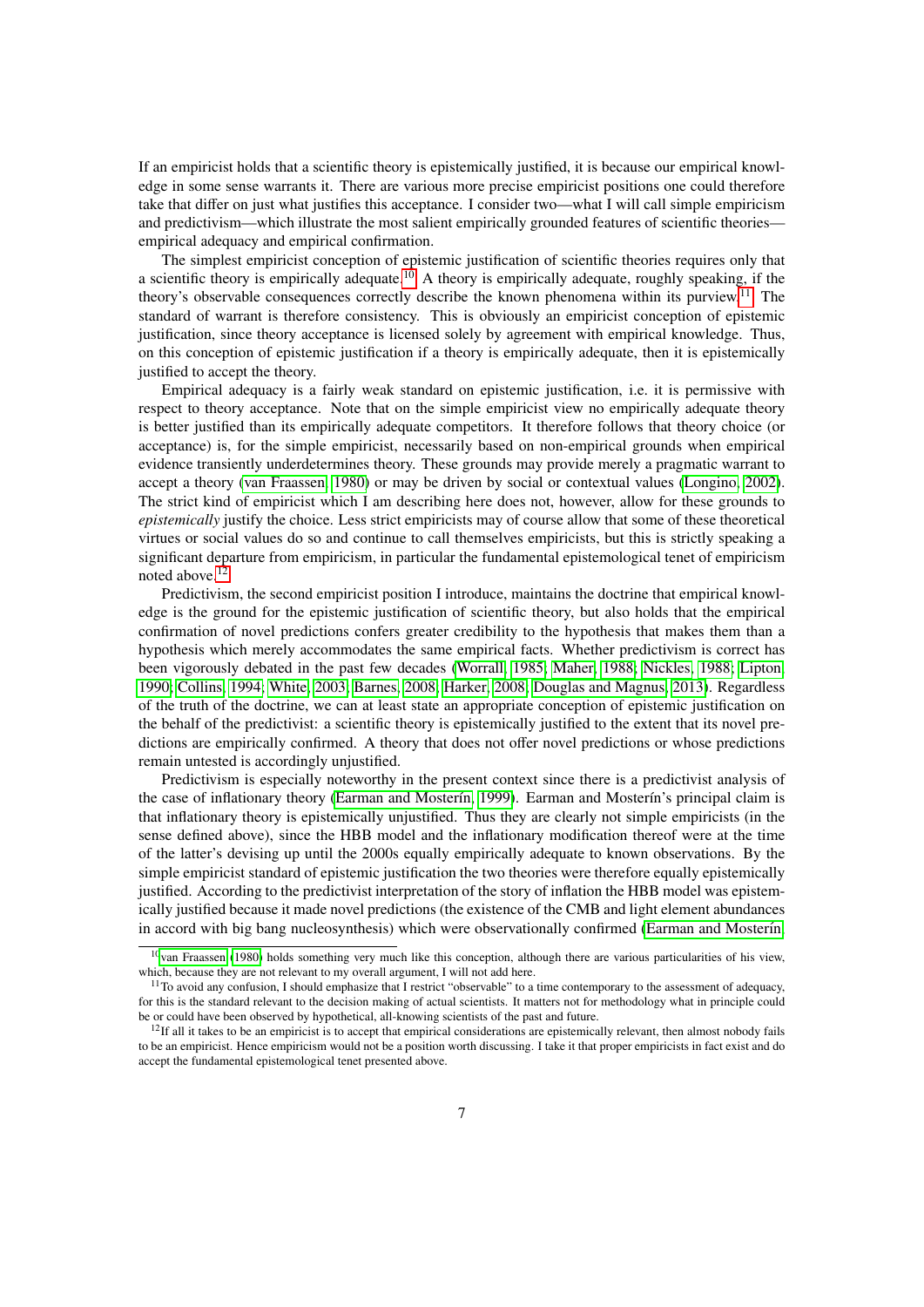If an empiricist holds that a scientific theory is epistemically justified, it is because our empirical knowledge in some sense warrants it. There are various more precise empiricist positions one could therefore take that differ on just what justifies this acceptance. I consider two—what I will call simple empiricism and predictivism—which illustrate the most salient empirically grounded features of scientific theories empirical adequacy and empirical confirmation.

The simplest empiricist conception of epistemic justification of scientific theories requires only that a scientific theory is empirically adequate.<sup>[10](#page-6-0)</sup> A theory is empirically adequate, roughly speaking, if the theory's observable consequences correctly describe the known phenomena within its purview.<sup>[11](#page-6-1)</sup> The standard of warrant is therefore consistency. This is obviously an empiricist conception of epistemic justification, since theory acceptance is licensed solely by agreement with empirical knowledge. Thus, on this conception of epistemic justification if a theory is empirically adequate, then it is epistemically justified to accept the theory.

Empirical adequacy is a fairly weak standard on epistemic justification, i.e. it is permissive with respect to theory acceptance. Note that on the simple empiricist view no empirically adequate theory is better justified than its empirically adequate competitors. It therefore follows that theory choice (or acceptance) is, for the simple empiricist, necessarily based on non-empirical grounds when empirical evidence transiently underdetermines theory. These grounds may provide merely a pragmatic warrant to accept a theory [\(van Fraassen, 1980\)](#page-15-13) or may be driven by social or contextual values [\(Longino, 2002\)](#page-14-15). The strict kind of empiricist which I am describing here does not, however, allow for these grounds to *epistemically* justify the choice. Less strict empiricists may of course allow that some of these theoretical virtues or social values do so and continue to call themselves empiricists, but this is strictly speaking a significant departure from empiricism, in particular the fundamental epistemological tenet of empiricism noted above.[12](#page-6-2)

Predictivism, the second empiricist position I introduce, maintains the doctrine that empirical knowledge is the ground for the epistemic justification of scientific theory, but also holds that the empirical confirmation of novel predictions confers greater credibility to the hypothesis that makes them than a hypothesis which merely accommodates the same empirical facts. Whether predictivism is correct has been vigorously debated in the past few decades [\(Worrall, 1985;](#page-16-1) [Maher, 1988;](#page-14-16) [Nickles, 1988;](#page-15-14) [Lipton,](#page-14-17) [1990;](#page-14-17) [Collins, 1994;](#page-13-15) [White, 2003;](#page-15-15) [Barnes, 2008;](#page-12-7) [Harker, 2008;](#page-13-16) [Douglas and Magnus, 2013\)](#page-13-17). Regardless of the truth of the doctrine, we can at least state an appropriate conception of epistemic justification on the behalf of the predictivist: a scientific theory is epistemically justified to the extent that its novel predictions are empirically confirmed. A theory that does not offer novel predictions or whose predictions remain untested is accordingly unjustified.

Predictivism is especially noteworthy in the present context since there is a predictivist analysis of the case of inflationary theory (Earman and Mosterín, 1999). Earman and Mosterín's principal claim is that inflationary theory is epistemically unjustified. Thus they are clearly not simple empiricists (in the sense defined above), since the HBB model and the inflationary modification thereof were at the time of the latter's devising up until the 2000s equally empirically adequate to known observations. By the simple empiricist standard of epistemic justification the two theories were therefore equally epistemically justified. According to the predictivist interpretation of the story of inflation the HBB model was epistemically justified because it made novel predictions (the existence of the CMB and light element abundances in accord with big bang nucleosynthesis) which were observationally confirmed (Earman and Mosterín,

<span id="page-6-0"></span><sup>&</sup>lt;sup>10</sup>[van Fraassen](#page-15-13) [\(1980\)](#page-15-13) holds something very much like this conception, although there are various particularities of his view, which, because they are not relevant to my overall argument, I will not add here.

<span id="page-6-1"></span> $11$ To avoid any confusion, I should emphasize that I restrict "observable" to a time contemporary to the assessment of adequacy, for this is the standard relevant to the decision making of actual scientists. It matters not for methodology what in principle could be or could have been observed by hypothetical, all-knowing scientists of the past and future.

<span id="page-6-2"></span> $12$ If all it takes to be an empiricist is to accept that empirical considerations are epistemically relevant, then almost nobody fails to be an empiricist. Hence empiricism would not be a position worth discussing. I take it that proper empiricists in fact exist and do accept the fundamental epistemological tenet presented above.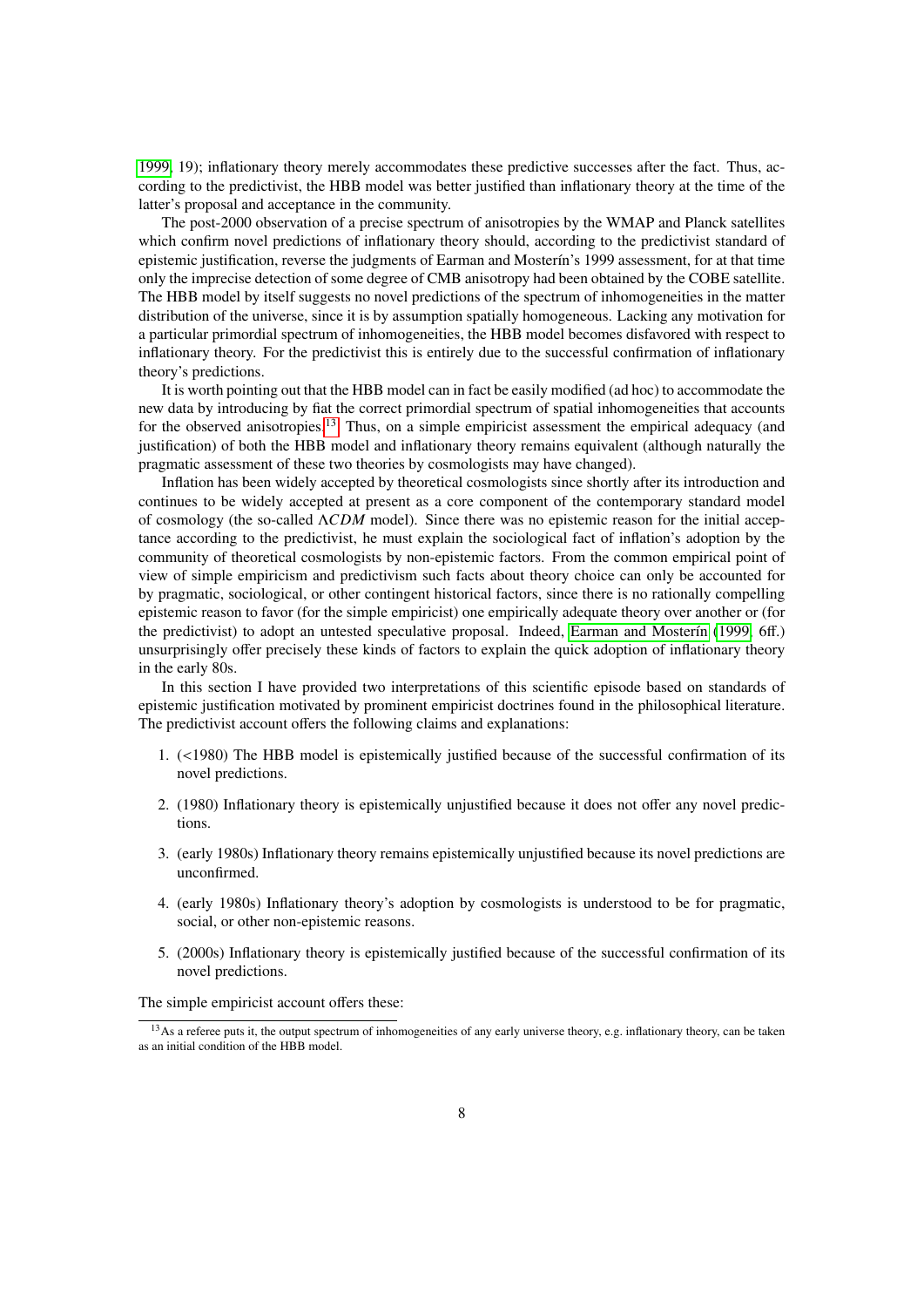[1999,](#page-13-0) 19); inflationary theory merely accommodates these predictive successes after the fact. Thus, according to the predictivist, the HBB model was better justified than inflationary theory at the time of the latter's proposal and acceptance in the community.

The post-2000 observation of a precise spectrum of anisotropies by the WMAP and Planck satellites which confirm novel predictions of inflationary theory should, according to the predictivist standard of epistemic justification, reverse the judgments of Earman and Mosterin's 1999 assessment, for at that time only the imprecise detection of some degree of CMB anisotropy had been obtained by the COBE satellite. The HBB model by itself suggests no novel predictions of the spectrum of inhomogeneities in the matter distribution of the universe, since it is by assumption spatially homogeneous. Lacking any motivation for a particular primordial spectrum of inhomogeneities, the HBB model becomes disfavored with respect to inflationary theory. For the predictivist this is entirely due to the successful confirmation of inflationary theory's predictions.

It is worth pointing out that the HBB model can in fact be easily modified (ad hoc) to accommodate the new data by introducing by fiat the correct primordial spectrum of spatial inhomogeneities that accounts for the observed anisotropies.<sup>[13](#page-7-0)</sup> Thus, on a simple empiricist assessment the empirical adequacy (and justification) of both the HBB model and inflationary theory remains equivalent (although naturally the pragmatic assessment of these two theories by cosmologists may have changed).

Inflation has been widely accepted by theoretical cosmologists since shortly after its introduction and continues to be widely accepted at present as a core component of the contemporary standard model of cosmology (the so-called Λ*CDM* model). Since there was no epistemic reason for the initial acceptance according to the predictivist, he must explain the sociological fact of inflation's adoption by the community of theoretical cosmologists by non-epistemic factors. From the common empirical point of view of simple empiricism and predictivism such facts about theory choice can only be accounted for by pragmatic, sociological, or other contingent historical factors, since there is no rationally compelling epistemic reason to favor (for the simple empiricist) one empirically adequate theory over another or (for the predictivist) to adopt an untested speculative proposal. Indeed, Earman and Mosterín [\(1999,](#page-13-0) 6ff.) unsurprisingly offer precisely these kinds of factors to explain the quick adoption of inflationary theory in the early 80s.

In this section I have provided two interpretations of this scientific episode based on standards of epistemic justification motivated by prominent empiricist doctrines found in the philosophical literature. The predictivist account offers the following claims and explanations:

- 1. (<1980) The HBB model is epistemically justified because of the successful confirmation of its novel predictions.
- 2. (1980) Inflationary theory is epistemically unjustified because it does not offer any novel predictions.
- 3. (early 1980s) Inflationary theory remains epistemically unjustified because its novel predictions are unconfirmed.
- 4. (early 1980s) Inflationary theory's adoption by cosmologists is understood to be for pragmatic, social, or other non-epistemic reasons.
- 5. (2000s) Inflationary theory is epistemically justified because of the successful confirmation of its novel predictions.

The simple empiricist account offers these:

<span id="page-7-0"></span><sup>&</sup>lt;sup>13</sup>As a referee puts it, the output spectrum of inhomogeneities of any early universe theory, e.g. inflationary theory, can be taken as an initial condition of the HBB model.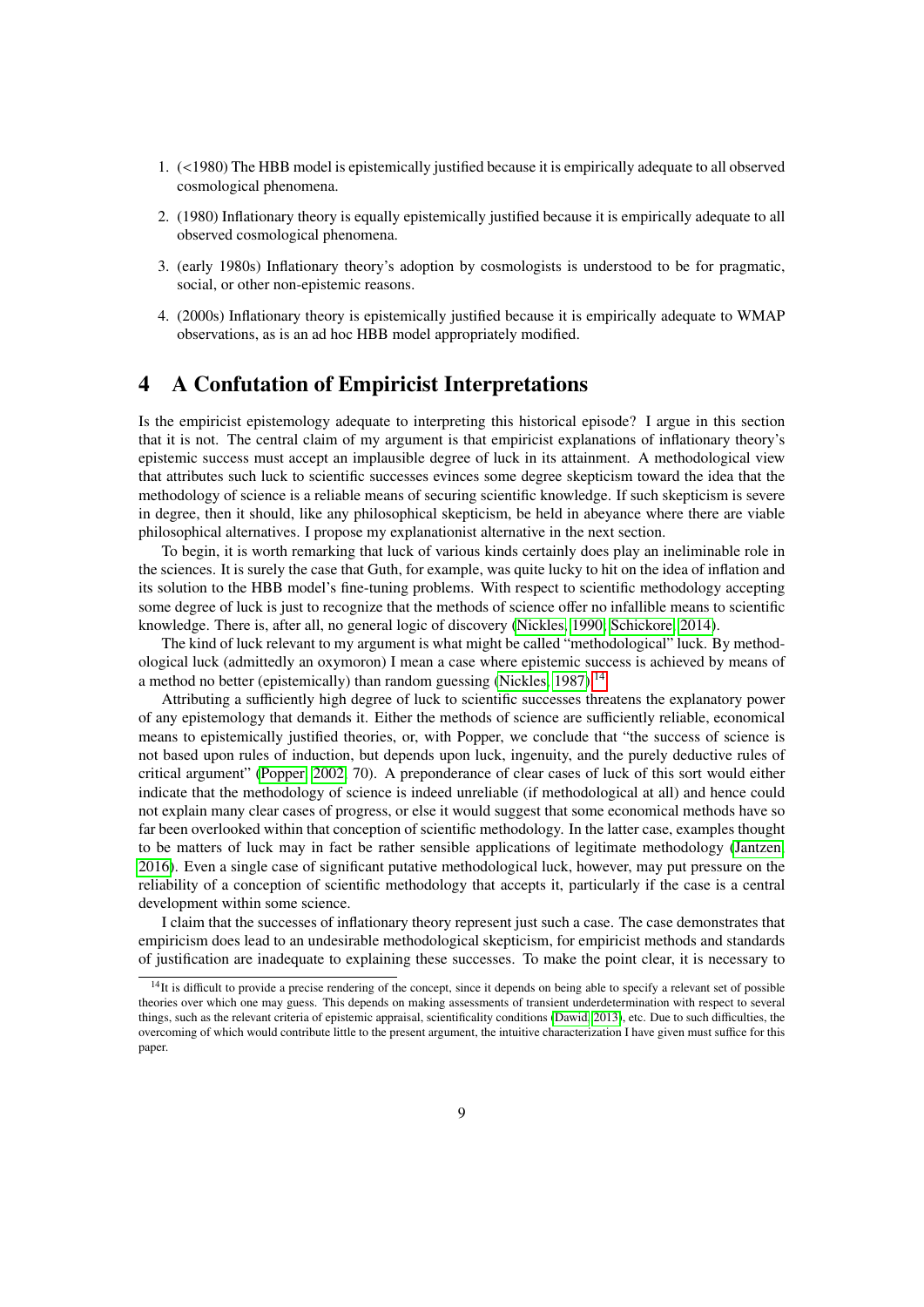- 1. (<1980) The HBB model is epistemically justified because it is empirically adequate to all observed cosmological phenomena.
- 2. (1980) Inflationary theory is equally epistemically justified because it is empirically adequate to all observed cosmological phenomena.
- 3. (early 1980s) Inflationary theory's adoption by cosmologists is understood to be for pragmatic, social, or other non-epistemic reasons.
- 4. (2000s) Inflationary theory is epistemically justified because it is empirically adequate to WMAP observations, as is an ad hoc HBB model appropriately modified.

#### 4 A Confutation of Empiricist Interpretations

Is the empiricist epistemology adequate to interpreting this historical episode? I argue in this section that it is not. The central claim of my argument is that empiricist explanations of inflationary theory's epistemic success must accept an implausible degree of luck in its attainment. A methodological view that attributes such luck to scientific successes evinces some degree skepticism toward the idea that the methodology of science is a reliable means of securing scientific knowledge. If such skepticism is severe in degree, then it should, like any philosophical skepticism, be held in abeyance where there are viable philosophical alternatives. I propose my explanationist alternative in the next section.

To begin, it is worth remarking that luck of various kinds certainly does play an ineliminable role in the sciences. It is surely the case that Guth, for example, was quite lucky to hit on the idea of inflation and its solution to the HBB model's fine-tuning problems. With respect to scientific methodology accepting some degree of luck is just to recognize that the methods of science offer no infallible means to scientific knowledge. There is, after all, no general logic of discovery [\(Nickles, 1990;](#page-15-16) [Schickore, 2014\)](#page-15-17).

The kind of luck relevant to my argument is what might be called "methodological" luck. By methodological luck (admittedly an oxymoron) I mean a case where epistemic success is achieved by means of a method no better (epistemically) than random guessing [\(Nickles, 1987\)](#page-14-18).<sup>[14](#page-8-0)</sup>

Attributing a sufficiently high degree of luck to scientific successes threatens the explanatory power of any epistemology that demands it. Either the methods of science are sufficiently reliable, economical means to epistemically justified theories, or, with Popper, we conclude that "the success of science is not based upon rules of induction, but depends upon luck, ingenuity, and the purely deductive rules of critical argument" [\(Popper, 2002,](#page-15-18) 70). A preponderance of clear cases of luck of this sort would either indicate that the methodology of science is indeed unreliable (if methodological at all) and hence could not explain many clear cases of progress, or else it would suggest that some economical methods have so far been overlooked within that conception of scientific methodology. In the latter case, examples thought to be matters of luck may in fact be rather sensible applications of legitimate methodology [\(Jantzen,](#page-14-19) [2016\)](#page-14-19). Even a single case of significant putative methodological luck, however, may put pressure on the reliability of a conception of scientific methodology that accepts it, particularly if the case is a central development within some science.

I claim that the successes of inflationary theory represent just such a case. The case demonstrates that empiricism does lead to an undesirable methodological skepticism, for empiricist methods and standards of justification are inadequate to explaining these successes. To make the point clear, it is necessary to

<span id="page-8-0"></span><sup>&</sup>lt;sup>14</sup>It is difficult to provide a precise rendering of the concept, since it depends on being able to specify a relevant set of possible theories over which one may guess. This depends on making assessments of transient underdetermination with respect to several things, such as the relevant criteria of epistemic appraisal, scientificality conditions [\(Dawid, 2013\)](#page-13-13), etc. Due to such difficulties, the overcoming of which would contribute little to the present argument, the intuitive characterization I have given must suffice for this paper.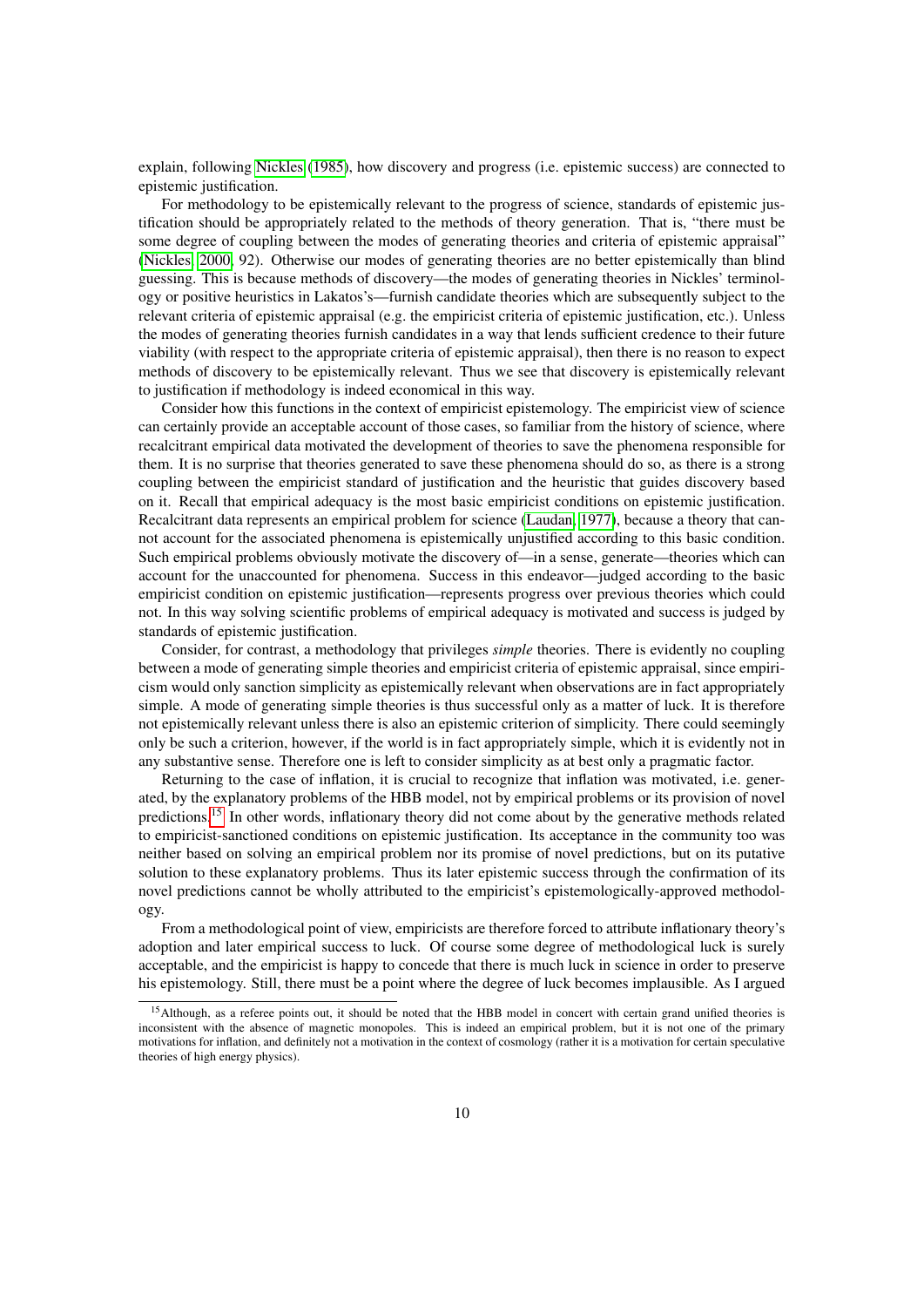explain, following [Nickles](#page-14-20) [\(1985\)](#page-14-20), how discovery and progress (i.e. epistemic success) are connected to epistemic justification.

For methodology to be epistemically relevant to the progress of science, standards of epistemic justification should be appropriately related to the methods of theory generation. That is, "there must be some degree of coupling between the modes of generating theories and criteria of epistemic appraisal" [\(Nickles, 2000,](#page-15-19) 92). Otherwise our modes of generating theories are no better epistemically than blind guessing. This is because methods of discovery—the modes of generating theories in Nickles' terminology or positive heuristics in Lakatos's—furnish candidate theories which are subsequently subject to the relevant criteria of epistemic appraisal (e.g. the empiricist criteria of epistemic justification, etc.). Unless the modes of generating theories furnish candidates in a way that lends sufficient credence to their future viability (with respect to the appropriate criteria of epistemic appraisal), then there is no reason to expect methods of discovery to be epistemically relevant. Thus we see that discovery is epistemically relevant to justification if methodology is indeed economical in this way.

Consider how this functions in the context of empiricist epistemology. The empiricist view of science can certainly provide an acceptable account of those cases, so familiar from the history of science, where recalcitrant empirical data motivated the development of theories to save the phenomena responsible for them. It is no surprise that theories generated to save these phenomena should do so, as there is a strong coupling between the empiricist standard of justification and the heuristic that guides discovery based on it. Recall that empirical adequacy is the most basic empiricist conditions on epistemic justification. Recalcitrant data represents an empirical problem for science [\(Laudan, 1977\)](#page-14-2), because a theory that cannot account for the associated phenomena is epistemically unjustified according to this basic condition. Such empirical problems obviously motivate the discovery of—in a sense, generate—theories which can account for the unaccounted for phenomena. Success in this endeavor—judged according to the basic empiricist condition on epistemic justification—represents progress over previous theories which could not. In this way solving scientific problems of empirical adequacy is motivated and success is judged by standards of epistemic justification.

Consider, for contrast, a methodology that privileges *simple* theories. There is evidently no coupling between a mode of generating simple theories and empiricist criteria of epistemic appraisal, since empiricism would only sanction simplicity as epistemically relevant when observations are in fact appropriately simple. A mode of generating simple theories is thus successful only as a matter of luck. It is therefore not epistemically relevant unless there is also an epistemic criterion of simplicity. There could seemingly only be such a criterion, however, if the world is in fact appropriately simple, which it is evidently not in any substantive sense. Therefore one is left to consider simplicity as at best only a pragmatic factor.

Returning to the case of inflation, it is crucial to recognize that inflation was motivated, i.e. generated, by the explanatory problems of the HBB model, not by empirical problems or its provision of novel predictions.<sup>[15](#page-9-0)</sup> In other words, inflationary theory did not come about by the generative methods related to empiricist-sanctioned conditions on epistemic justification. Its acceptance in the community too was neither based on solving an empirical problem nor its promise of novel predictions, but on its putative solution to these explanatory problems. Thus its later epistemic success through the confirmation of its novel predictions cannot be wholly attributed to the empiricist's epistemologically-approved methodology.

From a methodological point of view, empiricists are therefore forced to attribute inflationary theory's adoption and later empirical success to luck. Of course some degree of methodological luck is surely acceptable, and the empiricist is happy to concede that there is much luck in science in order to preserve his epistemology. Still, there must be a point where the degree of luck becomes implausible. As I argued

<span id="page-9-0"></span><sup>&</sup>lt;sup>15</sup>Although, as a referee points out, it should be noted that the HBB model in concert with certain grand unified theories is inconsistent with the absence of magnetic monopoles. This is indeed an empirical problem, but it is not one of the primary motivations for inflation, and definitely not a motivation in the context of cosmology (rather it is a motivation for certain speculative theories of high energy physics).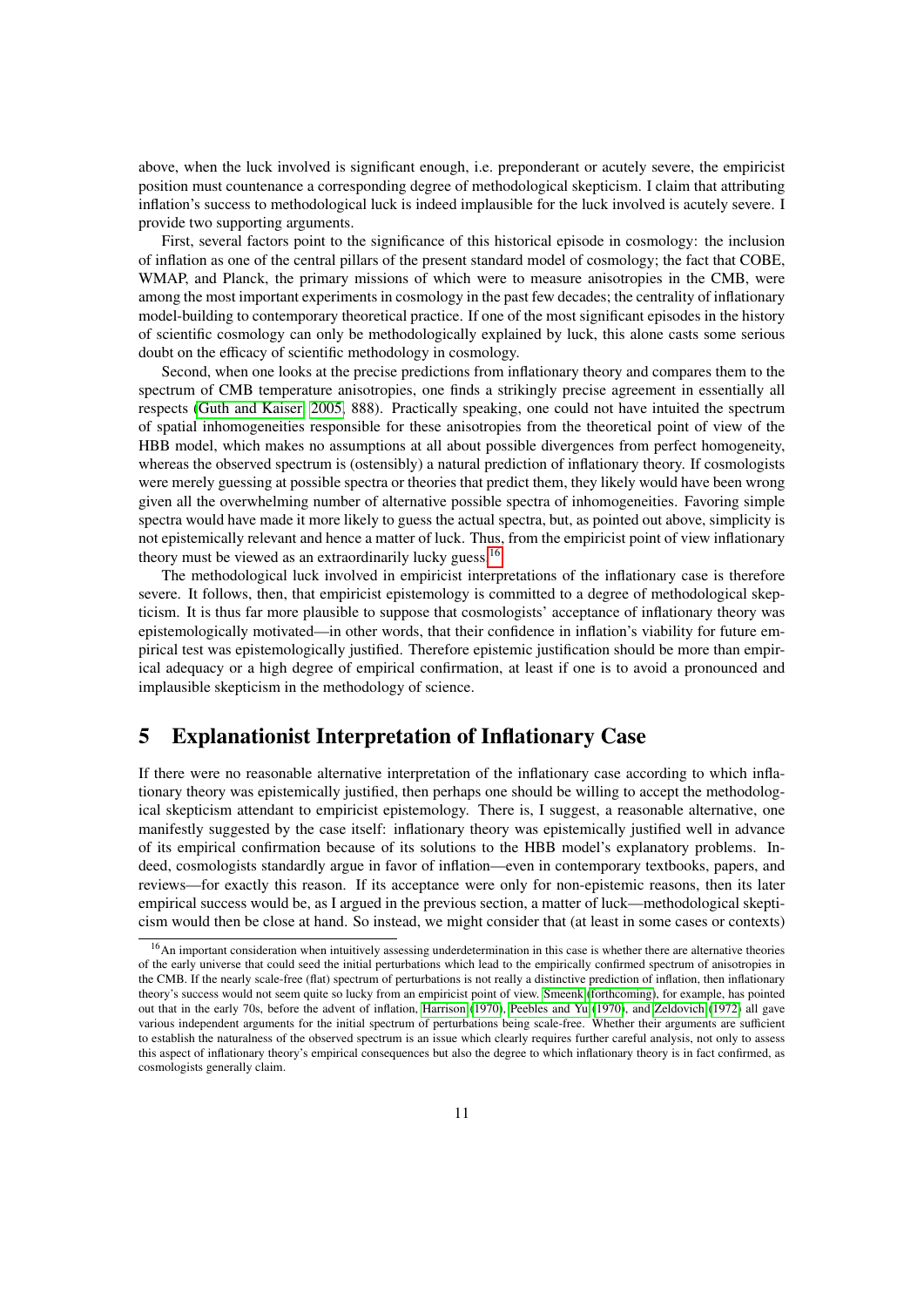above, when the luck involved is significant enough, i.e. preponderant or acutely severe, the empiricist position must countenance a corresponding degree of methodological skepticism. I claim that attributing inflation's success to methodological luck is indeed implausible for the luck involved is acutely severe. I provide two supporting arguments.

First, several factors point to the significance of this historical episode in cosmology: the inclusion of inflation as one of the central pillars of the present standard model of cosmology; the fact that COBE, WMAP, and Planck, the primary missions of which were to measure anisotropies in the CMB, were among the most important experiments in cosmology in the past few decades; the centrality of inflationary model-building to contemporary theoretical practice. If one of the most significant episodes in the history of scientific cosmology can only be methodologically explained by luck, this alone casts some serious doubt on the efficacy of scientific methodology in cosmology.

Second, when one looks at the precise predictions from inflationary theory and compares them to the spectrum of CMB temperature anisotropies, one finds a strikingly precise agreement in essentially all respects [\(Guth and Kaiser, 2005,](#page-13-2) 888). Practically speaking, one could not have intuited the spectrum of spatial inhomogeneities responsible for these anisotropies from the theoretical point of view of the HBB model, which makes no assumptions at all about possible divergences from perfect homogeneity, whereas the observed spectrum is (ostensibly) a natural prediction of inflationary theory. If cosmologists were merely guessing at possible spectra or theories that predict them, they likely would have been wrong given all the overwhelming number of alternative possible spectra of inhomogeneities. Favoring simple spectra would have made it more likely to guess the actual spectra, but, as pointed out above, simplicity is not epistemically relevant and hence a matter of luck. Thus, from the empiricist point of view inflationary theory must be viewed as an extraordinarily lucky guess.<sup>[16](#page-10-0)</sup>

The methodological luck involved in empiricist interpretations of the inflationary case is therefore severe. It follows, then, that empiricist epistemology is committed to a degree of methodological skepticism. It is thus far more plausible to suppose that cosmologists' acceptance of inflationary theory was epistemologically motivated—in other words, that their confidence in inflation's viability for future empirical test was epistemologically justified. Therefore epistemic justification should be more than empirical adequacy or a high degree of empirical confirmation, at least if one is to avoid a pronounced and implausible skepticism in the methodology of science.

#### 5 Explanationist Interpretation of Inflationary Case

If there were no reasonable alternative interpretation of the inflationary case according to which inflationary theory was epistemically justified, then perhaps one should be willing to accept the methodological skepticism attendant to empiricist epistemology. There is, I suggest, a reasonable alternative, one manifestly suggested by the case itself: inflationary theory was epistemically justified well in advance of its empirical confirmation because of its solutions to the HBB model's explanatory problems. Indeed, cosmologists standardly argue in favor of inflation—even in contemporary textbooks, papers, and reviews—for exactly this reason. If its acceptance were only for non-epistemic reasons, then its later empirical success would be, as I argued in the previous section, a matter of luck—methodological skepticism would then be close at hand. So instead, we might consider that (at least in some cases or contexts)

<span id="page-10-0"></span><sup>&</sup>lt;sup>16</sup>An important consideration when intuitively assessing underdetermination in this case is whether there are alternative theories of the early universe that could seed the initial perturbations which lead to the empirically confirmed spectrum of anisotropies in the CMB. If the nearly scale-free (flat) spectrum of perturbations is not really a distinctive prediction of inflation, then inflationary theory's success would not seem quite so lucky from an empiricist point of view. [Smeenk](#page-15-8) [\(forthcoming\)](#page-15-8), for example, has pointed out that in the early 70s, before the advent of inflation, [Harrison](#page-13-18) [\(1970\)](#page-13-18), [Peebles and Yu](#page-15-20) [\(1970\)](#page-15-20), and [Zeldovich](#page-16-2) [\(1972\)](#page-16-2) all gave various independent arguments for the initial spectrum of perturbations being scale-free. Whether their arguments are sufficient to establish the naturalness of the observed spectrum is an issue which clearly requires further careful analysis, not only to assess this aspect of inflationary theory's empirical consequences but also the degree to which inflationary theory is in fact confirmed, as cosmologists generally claim.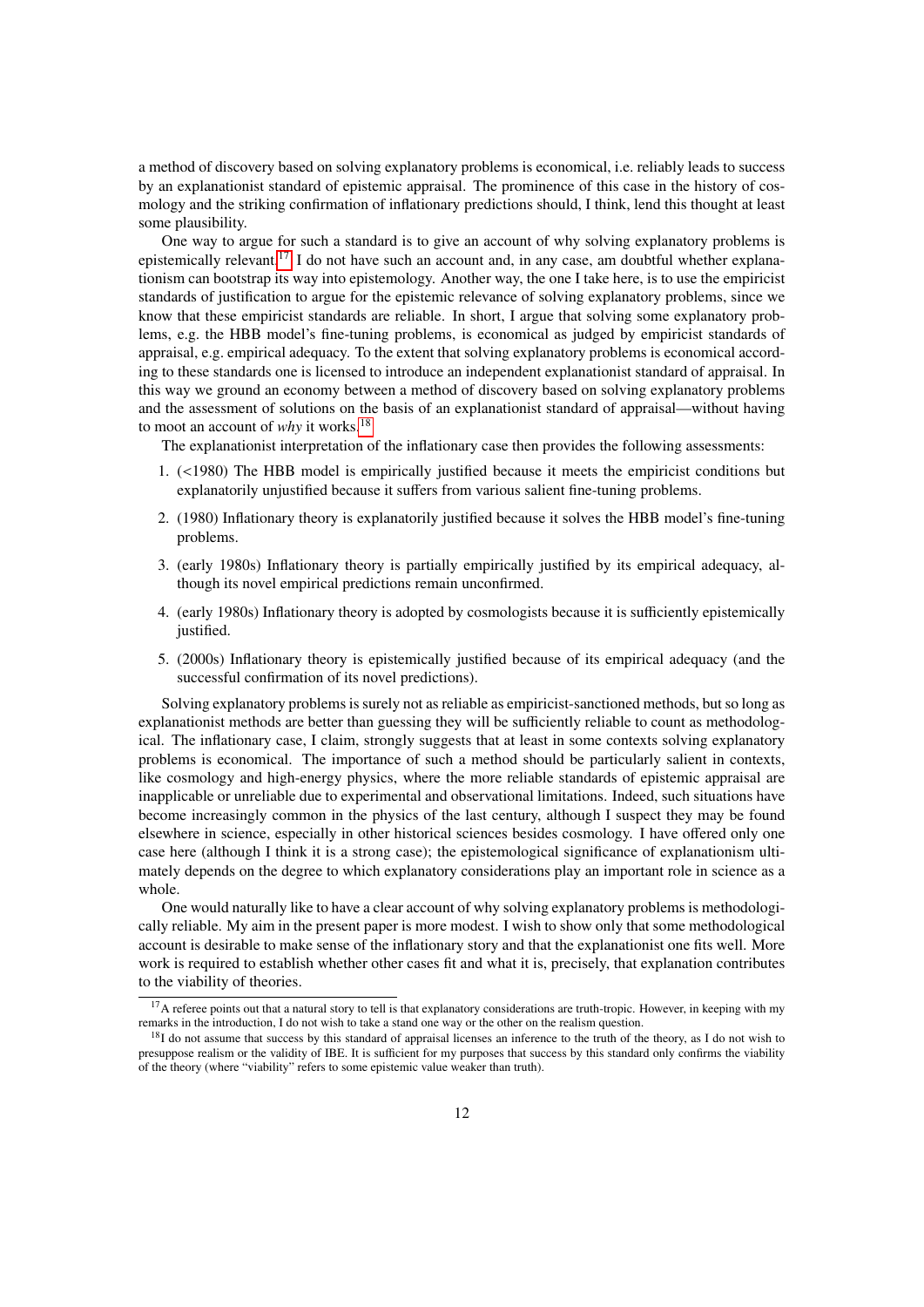a method of discovery based on solving explanatory problems is economical, i.e. reliably leads to success by an explanationist standard of epistemic appraisal. The prominence of this case in the history of cosmology and the striking confirmation of inflationary predictions should, I think, lend this thought at least some plausibility.

One way to argue for such a standard is to give an account of why solving explanatory problems is epistemically relevant.<sup>[17](#page-11-0)</sup> I do not have such an account and, in any case, am doubtful whether explanationism can bootstrap its way into epistemology. Another way, the one I take here, is to use the empiricist standards of justification to argue for the epistemic relevance of solving explanatory problems, since we know that these empiricist standards are reliable. In short, I argue that solving some explanatory problems, e.g. the HBB model's fine-tuning problems, is economical as judged by empiricist standards of appraisal, e.g. empirical adequacy. To the extent that solving explanatory problems is economical according to these standards one is licensed to introduce an independent explanationist standard of appraisal. In this way we ground an economy between a method of discovery based on solving explanatory problems and the assessment of solutions on the basis of an explanationist standard of appraisal—without having to moot an account of *why* it works.[18](#page-11-1)

The explanationist interpretation of the inflationary case then provides the following assessments:

- 1. (<1980) The HBB model is empirically justified because it meets the empiricist conditions but explanatorily unjustified because it suffers from various salient fine-tuning problems.
- 2. (1980) Inflationary theory is explanatorily justified because it solves the HBB model's fine-tuning problems.
- 3. (early 1980s) Inflationary theory is partially empirically justified by its empirical adequacy, although its novel empirical predictions remain unconfirmed.
- 4. (early 1980s) Inflationary theory is adopted by cosmologists because it is sufficiently epistemically justified.
- 5. (2000s) Inflationary theory is epistemically justified because of its empirical adequacy (and the successful confirmation of its novel predictions).

Solving explanatory problems is surely not as reliable as empiricist-sanctioned methods, but so long as explanationist methods are better than guessing they will be sufficiently reliable to count as methodological. The inflationary case, I claim, strongly suggests that at least in some contexts solving explanatory problems is economical. The importance of such a method should be particularly salient in contexts, like cosmology and high-energy physics, where the more reliable standards of epistemic appraisal are inapplicable or unreliable due to experimental and observational limitations. Indeed, such situations have become increasingly common in the physics of the last century, although I suspect they may be found elsewhere in science, especially in other historical sciences besides cosmology. I have offered only one case here (although I think it is a strong case); the epistemological significance of explanationism ultimately depends on the degree to which explanatory considerations play an important role in science as a whole.

One would naturally like to have a clear account of why solving explanatory problems is methodologically reliable. My aim in the present paper is more modest. I wish to show only that some methodological account is desirable to make sense of the inflationary story and that the explanationist one fits well. More work is required to establish whether other cases fit and what it is, precisely, that explanation contributes to the viability of theories.

<span id="page-11-0"></span><sup>&</sup>lt;sup>17</sup>A referee points out that a natural story to tell is that explanatory considerations are truth-tropic. However, in keeping with my remarks in the introduction, I do not wish to take a stand one way or the other on the realism question.

<span id="page-11-1"></span><sup>&</sup>lt;sup>18</sup>I do not assume that success by this standard of appraisal licenses an inference to the truth of the theory, as I do not wish to presuppose realism or the validity of IBE. It is sufficient for my purposes that success by this standard only confirms the viability of the theory (where "viability" refers to some epistemic value weaker than truth).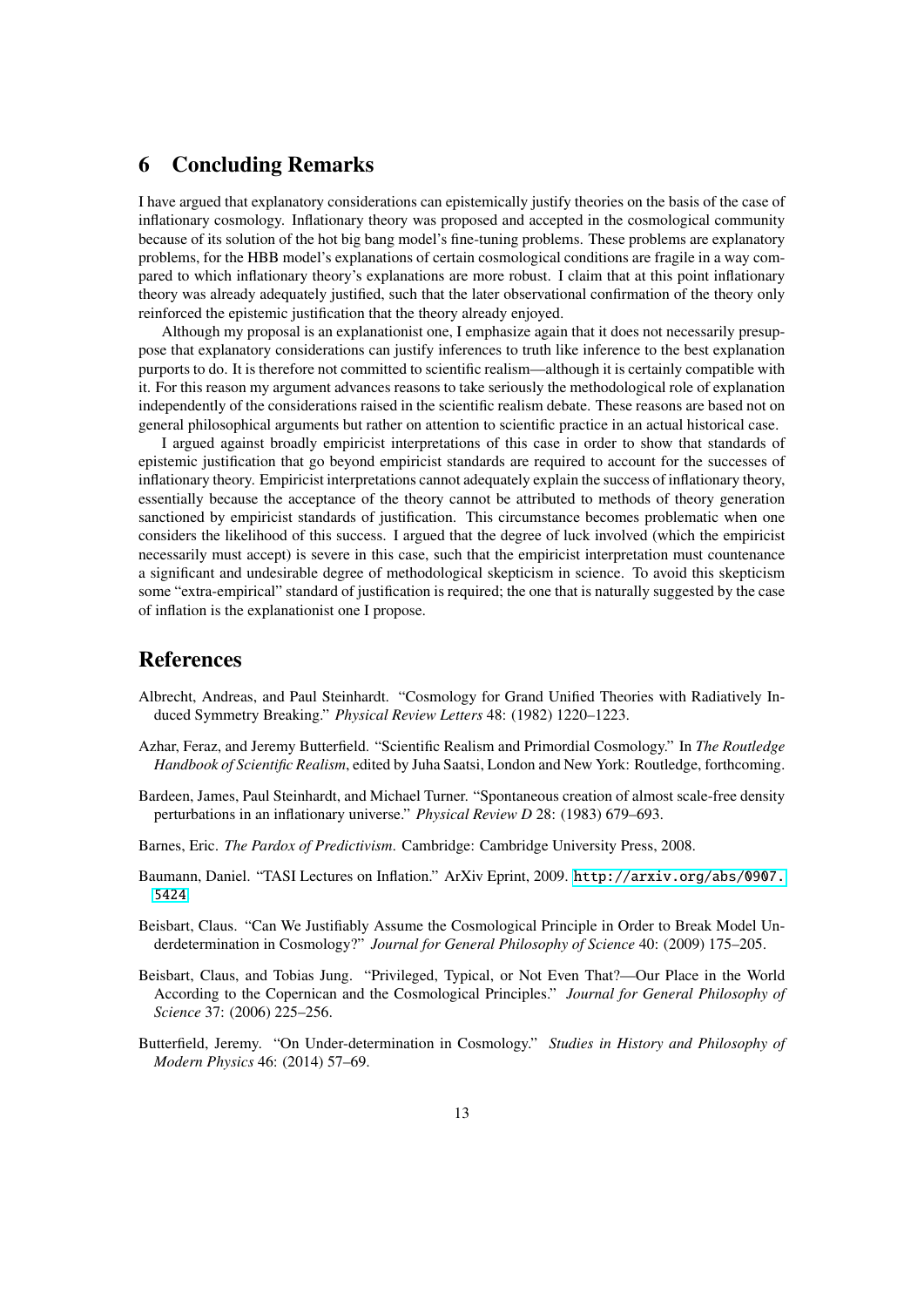### 6 Concluding Remarks

I have argued that explanatory considerations can epistemically justify theories on the basis of the case of inflationary cosmology. Inflationary theory was proposed and accepted in the cosmological community because of its solution of the hot big bang model's fine-tuning problems. These problems are explanatory problems, for the HBB model's explanations of certain cosmological conditions are fragile in a way compared to which inflationary theory's explanations are more robust. I claim that at this point inflationary theory was already adequately justified, such that the later observational confirmation of the theory only reinforced the epistemic justification that the theory already enjoyed.

Although my proposal is an explanationist one, I emphasize again that it does not necessarily presuppose that explanatory considerations can justify inferences to truth like inference to the best explanation purports to do. It is therefore not committed to scientific realism—although it is certainly compatible with it. For this reason my argument advances reasons to take seriously the methodological role of explanation independently of the considerations raised in the scientific realism debate. These reasons are based not on general philosophical arguments but rather on attention to scientific practice in an actual historical case.

I argued against broadly empiricist interpretations of this case in order to show that standards of epistemic justification that go beyond empiricist standards are required to account for the successes of inflationary theory. Empiricist interpretations cannot adequately explain the success of inflationary theory, essentially because the acceptance of the theory cannot be attributed to methods of theory generation sanctioned by empiricist standards of justification. This circumstance becomes problematic when one considers the likelihood of this success. I argued that the degree of luck involved (which the empiricist necessarily must accept) is severe in this case, such that the empiricist interpretation must countenance a significant and undesirable degree of methodological skepticism in science. To avoid this skepticism some "extra-empirical" standard of justification is required; the one that is naturally suggested by the case of inflation is the explanationist one I propose.

#### References

- <span id="page-12-4"></span>Albrecht, Andreas, and Paul Steinhardt. "Cosmology for Grand Unified Theories with Radiatively Induced Symmetry Breaking." *Physical Review Letters* 48: (1982) 1220–1223.
- <span id="page-12-0"></span>Azhar, Feraz, and Jeremy Butterfield. "Scientific Realism and Primordial Cosmology." In *The Routledge Handbook of Scientific Realism*, edited by Juha Saatsi, London and New York: Routledge, forthcoming.
- <span id="page-12-5"></span>Bardeen, James, Paul Steinhardt, and Michael Turner. "Spontaneous creation of almost scale-free density perturbations in an inflationary universe." *Physical Review D* 28: (1983) 679–693.
- <span id="page-12-7"></span>Barnes, Eric. *The Pardox of Predictivism*. Cambridge: Cambridge University Press, 2008.
- <span id="page-12-6"></span>Baumann, Daniel. "TASI Lectures on Inflation." ArXiv Eprint, 2009. [http://arxiv.org/abs/0907.](http://arxiv.org/abs/0907.5424) [5424](http://arxiv.org/abs/0907.5424).
- <span id="page-12-2"></span>Beisbart, Claus. "Can We Justifiably Assume the Cosmological Principle in Order to Break Model Underdetermination in Cosmology?" *Journal for General Philosophy of Science* 40: (2009) 175–205.
- <span id="page-12-1"></span>Beisbart, Claus, and Tobias Jung. "Privileged, Typical, or Not Even That?—Our Place in the World According to the Copernican and the Cosmological Principles." *Journal for General Philosophy of Science* 37: (2006) 225–256.
- <span id="page-12-3"></span>Butterfield, Jeremy. "On Under-determination in Cosmology." *Studies in History and Philosophy of Modern Physics* 46: (2014) 57–69.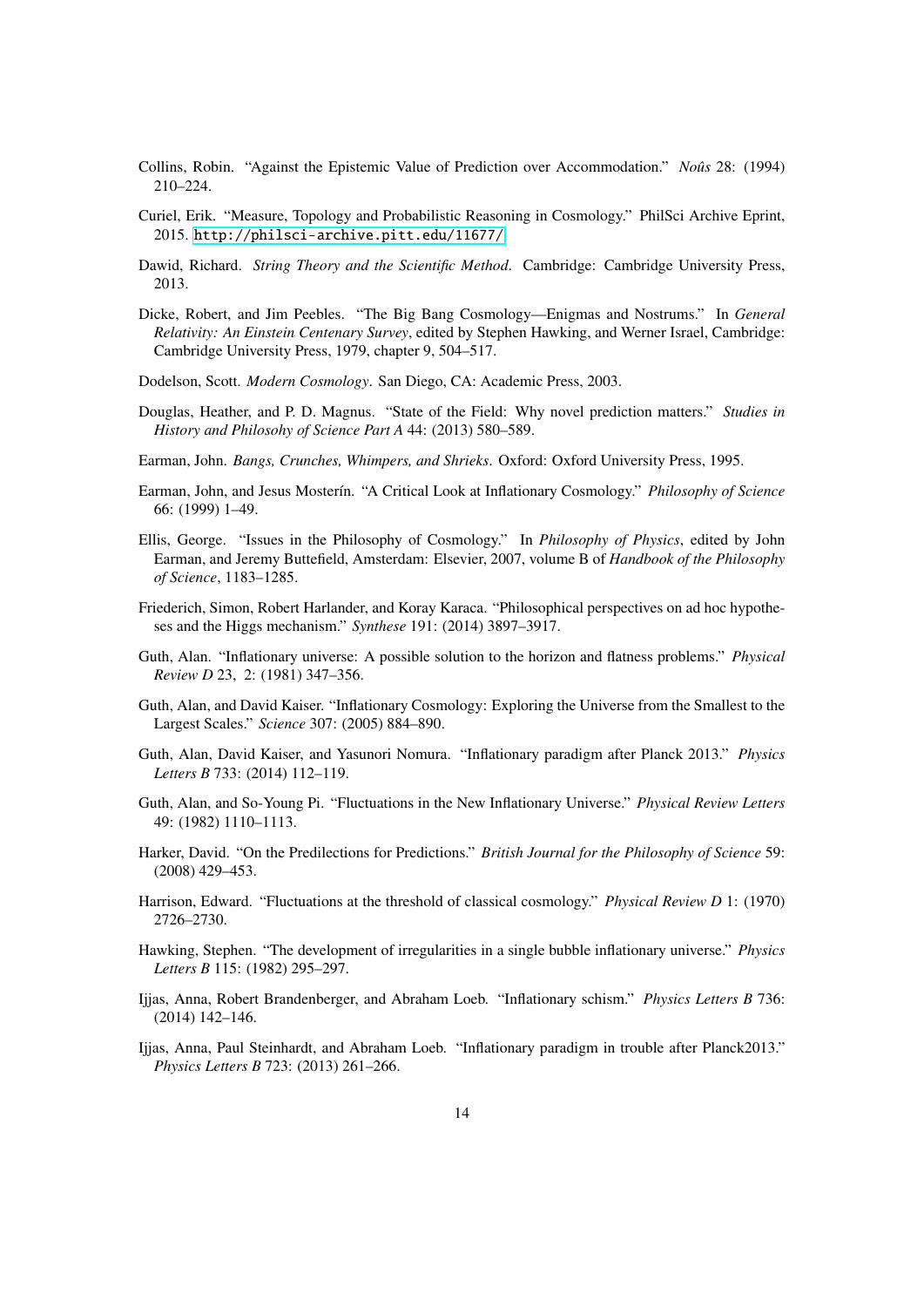- <span id="page-13-15"></span>Collins, Robin. "Against the Epistemic Value of Prediction over Accommodation." *Noûs* 28: (1994) 210–224.
- <span id="page-13-3"></span>Curiel, Erik. "Measure, Topology and Probabilistic Reasoning in Cosmology." PhilSci Archive Eprint, 2015. <http://philsci-archive.pitt.edu/11677/>.
- <span id="page-13-13"></span>Dawid, Richard. *String Theory and the Scientific Method*. Cambridge: Cambridge University Press, 2013.
- <span id="page-13-5"></span>Dicke, Robert, and Jim Peebles. "The Big Bang Cosmology—Enigmas and Nostrums." In *General Relativity: An Einstein Centenary Survey*, edited by Stephen Hawking, and Werner Israel, Cambridge: Cambridge University Press, 1979, chapter 9, 504–517.
- <span id="page-13-6"></span>Dodelson, Scott. *Modern Cosmology*. San Diego, CA: Academic Press, 2003.
- <span id="page-13-17"></span>Douglas, Heather, and P. D. Magnus. "State of the Field: Why novel prediction matters." *Studies in History and Philosohy of Science Part A* 44: (2013) 580–589.
- <span id="page-13-4"></span>Earman, John. *Bangs, Crunches, Whimpers, and Shrieks*. Oxford: Oxford University Press, 1995.
- <span id="page-13-0"></span>Earman, John, and Jesus Moster´ın. "A Critical Look at Inflationary Cosmology." *Philosophy of Science* 66: (1999) 1–49.
- <span id="page-13-7"></span>Ellis, George. "Issues in the Philosophy of Cosmology." In *Philosophy of Physics*, edited by John Earman, and Jeremy Buttefield, Amsterdam: Elsevier, 2007, volume B of *Handbook of the Philosophy of Science*, 1183–1285.
- <span id="page-13-14"></span>Friederich, Simon, Robert Harlander, and Koray Karaca. "Philosophical perspectives on ad hoc hypotheses and the Higgs mechanism." *Synthese* 191: (2014) 3897–3917.
- <span id="page-13-1"></span>Guth, Alan. "Inflationary universe: A possible solution to the horizon and flatness problems." *Physical Review D* 23, 2: (1981) 347–356.
- <span id="page-13-2"></span>Guth, Alan, and David Kaiser. "Inflationary Cosmology: Exploring the Universe from the Smallest to the Largest Scales." *Science* 307: (2005) 884–890.
- <span id="page-13-10"></span>Guth, Alan, David Kaiser, and Yasunori Nomura. "Inflationary paradigm after Planck 2013." *Physics Letters B* 733: (2014) 112–119.
- <span id="page-13-8"></span>Guth, Alan, and So-Young Pi. "Fluctuations in the New Inflationary Universe." *Physical Review Letters* 49: (1982) 1110–1113.
- <span id="page-13-16"></span>Harker, David. "On the Predilections for Predictions." *British Journal for the Philosophy of Science* 59: (2008) 429–453.
- <span id="page-13-18"></span>Harrison, Edward. "Fluctuations at the threshold of classical cosmology." *Physical Review D* 1: (1970) 2726–2730.
- <span id="page-13-9"></span>Hawking, Stephen. "The development of irregularities in a single bubble inflationary universe." *Physics Letters B* 115: (1982) 295–297.
- <span id="page-13-12"></span>Ijjas, Anna, Robert Brandenberger, and Abraham Loeb. "Inflationary schism." *Physics Letters B* 736: (2014) 142–146.
- <span id="page-13-11"></span>Ijjas, Anna, Paul Steinhardt, and Abraham Loeb. "Inflationary paradigm in trouble after Planck2013." *Physics Letters B* 723: (2013) 261–266.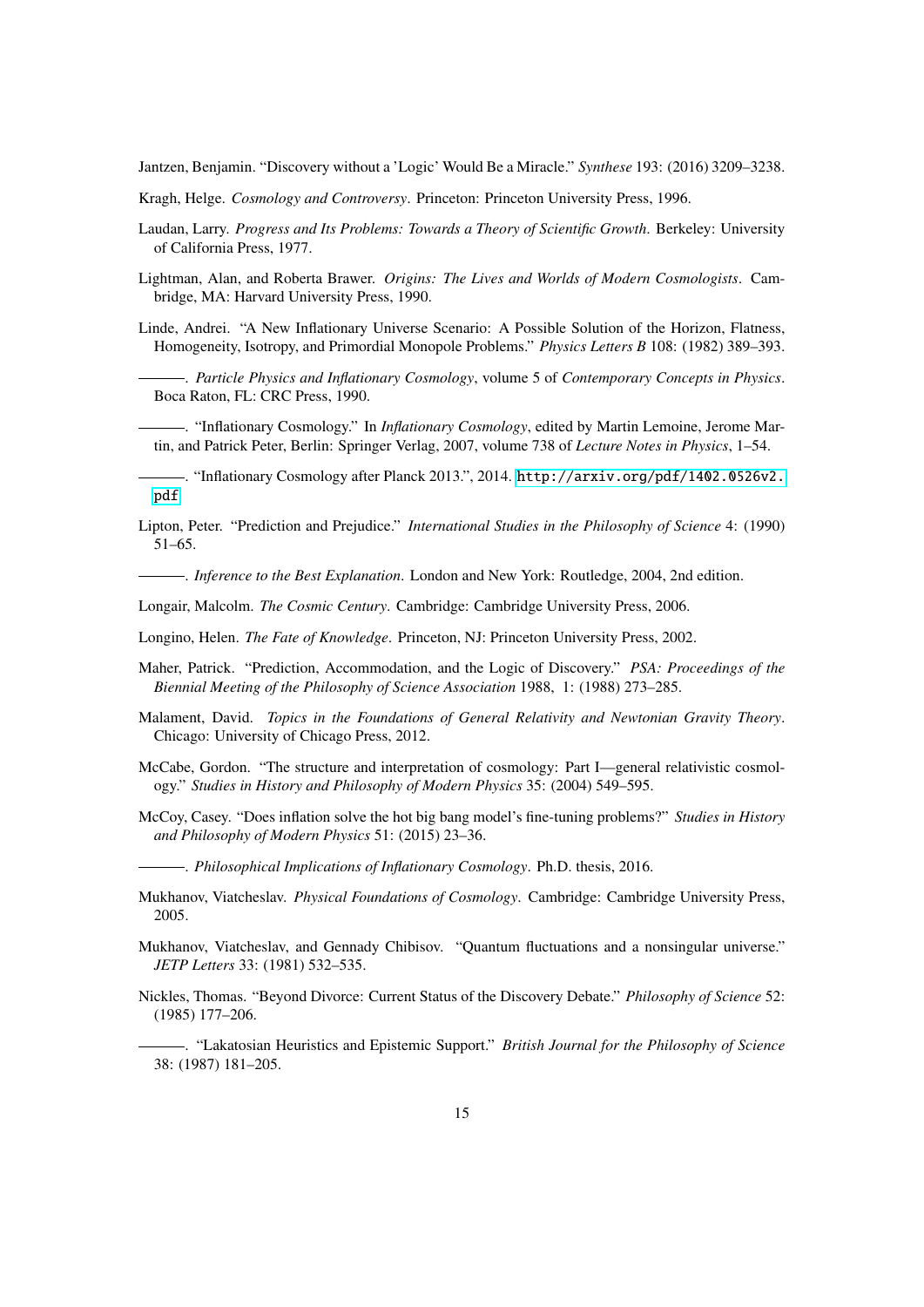<span id="page-14-19"></span>Jantzen, Benjamin. "Discovery without a 'Logic' Would Be a Miracle." *Synthese* 193: (2016) 3209–3238.

- <span id="page-14-4"></span>Kragh, Helge. *Cosmology and Controversy*. Princeton: Princeton University Press, 1996.
- <span id="page-14-2"></span>Laudan, Larry. *Progress and Its Problems: Towards a Theory of Scientific Growth*. Berkeley: University of California Press, 1977.
- <span id="page-14-11"></span>Lightman, Alan, and Roberta Brawer. *Origins: The Lives and Worlds of Modern Cosmologists*. Cambridge, MA: Harvard University Press, 1990.
- <span id="page-14-6"></span><span id="page-14-1"></span>Linde, Andrei. "A New Inflationary Universe Scenario: A Possible Solution of the Horizon, Flatness, Homogeneity, Isotropy, and Primordial Monopole Problems." *Physics Letters B* 108: (1982) 389–393.
	- . *Particle Physics and Inflationary Cosmology*, volume 5 of *Contemporary Concepts in Physics*. Boca Raton, FL: CRC Press, 1990.

<span id="page-14-13"></span>. "Inflationary Cosmology." In *Inflationary Cosmology*, edited by Martin Lemoine, Jerome Martin, and Patrick Peter, Berlin: Springer Verlag, 2007, volume 738 of *Lecture Notes in Physics*, 1–54.

<span id="page-14-14"></span>. "Inflationary Cosmology after Planck 2013.", 2014. [http://arxiv.org/pdf/1402.0526v2.](http://arxiv.org/pdf/1402.0526v2.pdf) [pdf](http://arxiv.org/pdf/1402.0526v2.pdf).

<span id="page-14-17"></span>Lipton, Peter. "Prediction and Prejudice." *International Studies in the Philosophy of Science* 4: (1990) 51–65.

<span id="page-14-0"></span>. *Inference to the Best Explanation*. London and New York: Routledge, 2004, 2nd edition.

<span id="page-14-5"></span>Longair, Malcolm. *The Cosmic Century*. Cambridge: Cambridge University Press, 2006.

<span id="page-14-15"></span>Longino, Helen. *The Fate of Knowledge*. Princeton, NJ: Princeton University Press, 2002.

- <span id="page-14-16"></span>Maher, Patrick. "Prediction, Accommodation, and the Logic of Discovery." *PSA: Proceedings of the Biennial Meeting of the Philosophy of Science Association* 1988, 1: (1988) 273–285.
- <span id="page-14-10"></span>Malament, David. *Topics in the Foundations of General Relativity and Newtonian Gravity Theory*. Chicago: University of Chicago Press, 2012.
- <span id="page-14-9"></span>McCabe, Gordon. "The structure and interpretation of cosmology: Part I—general relativistic cosmology." *Studies in History and Philosophy of Modern Physics* 35: (2004) 549–595.
- <span id="page-14-3"></span>McCoy, Casey. "Does inflation solve the hot big bang model's fine-tuning problems?" *Studies in History and Philosophy of Modern Physics* 51: (2015) 23–36.
- <span id="page-14-8"></span>. *Philosophical Implications of Inflationary Cosmology*. Ph.D. thesis, 2016.
- <span id="page-14-7"></span>Mukhanov, Viatcheslav. *Physical Foundations of Cosmology*. Cambridge: Cambridge University Press, 2005.
- <span id="page-14-12"></span>Mukhanov, Viatcheslav, and Gennady Chibisov. "Quantum fluctuations and a nonsingular universe." *JETP Letters* 33: (1981) 532–535.
- <span id="page-14-20"></span><span id="page-14-18"></span>Nickles, Thomas. "Beyond Divorce: Current Status of the Discovery Debate." *Philosophy of Science* 52: (1985) 177–206.
	- . "Lakatosian Heuristics and Epistemic Support." *British Journal for the Philosophy of Science* 38: (1987) 181–205.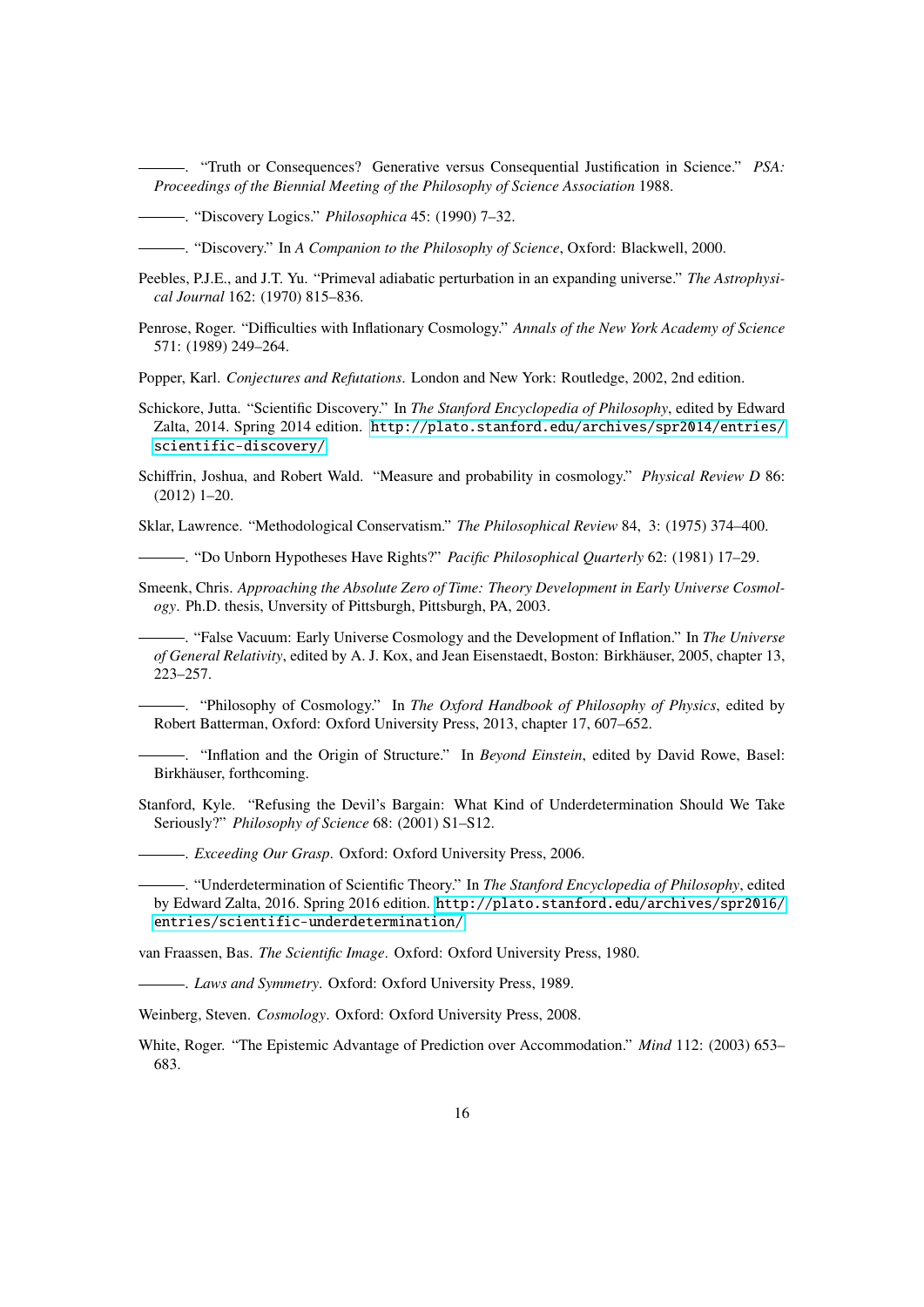<span id="page-15-14"></span>. "Truth or Consequences? Generative versus Consequential Justification in Science." *PSA: Proceedings of the Biennial Meeting of the Philosophy of Science Association* 1988.

- <span id="page-15-16"></span>. "Discovery Logics." *Philosophica* 45: (1990) 7–32.
- <span id="page-15-19"></span>. "Discovery." In *A Companion to the Philosophy of Science*, Oxford: Blackwell, 2000.
- <span id="page-15-20"></span>Peebles, P.J.E., and J.T. Yu. "Primeval adiabatic perturbation in an expanding universe." *The Astrophysical Journal* 162: (1970) 815–836.
- <span id="page-15-7"></span>Penrose, Roger. "Difficulties with Inflationary Cosmology." *Annals of the New York Academy of Science* 571: (1989) 249–264.

<span id="page-15-18"></span>Popper, Karl. *Conjectures and Refutations*. London and New York: Routledge, 2002, 2nd edition.

- <span id="page-15-17"></span>Schickore, Jutta. "Scientific Discovery." In *The Stanford Encyclopedia of Philosophy*, edited by Edward Zalta, 2014. Spring 2014 edition. [http://plato.stanford.edu/archives/spr2014/entries/](http://plato.stanford.edu/archives/spr2014/entries/scientific-discovery/) [scientific-discovery/](http://plato.stanford.edu/archives/spr2014/entries/scientific-discovery/).
- <span id="page-15-2"></span>Schiffrin, Joshua, and Robert Wald. "Measure and probability in cosmology." *Physical Review D* 86: (2012) 1–20.

<span id="page-15-9"></span>Sklar, Lawrence. "Methodological Conservatism." *The Philosophical Review* 84, 3: (1975) 374–400.

<span id="page-15-10"></span>. "Do Unborn Hypotheses Have Rights?" *Pacific Philosophical Quarterly* 62: (1981) 17–29.

<span id="page-15-6"></span>Smeenk, Chris. *Approaching the Absolute Zero of Time: Theory Development in Early Universe Cosmology*. Ph.D. thesis, Unversity of Pittsburgh, Pittsburgh, PA, 2003.

<span id="page-15-3"></span>. "False Vacuum: Early Universe Cosmology and the Development of Inflation." In *The Universe of General Relativity*, edited by A. J. Kox, and Jean Eisenstaedt, Boston: Birkhauser, 2005, chapter 13, ¨ 223–257.

<span id="page-15-4"></span>. "Philosophy of Cosmology." In *The Oxford Handbook of Philosophy of Physics*, edited by Robert Batterman, Oxford: Oxford University Press, 2013, chapter 17, 607–652.

<span id="page-15-8"></span>. "Inflation and the Origin of Structure." In *Beyond Einstein*, edited by David Rowe, Basel: Birkhäuser, forthcoming.

<span id="page-15-12"></span><span id="page-15-11"></span>Stanford, Kyle. "Refusing the Devil's Bargain: What Kind of Underdetermination Should We Take Seriously?" *Philosophy of Science* 68: (2001) S1–S12.

. *Exceeding Our Grasp*. Oxford: Oxford University Press, 2006.

<span id="page-15-0"></span>. "Underdetermination of Scientific Theory." In *The Stanford Encyclopedia of Philosophy*, edited by Edward Zalta, 2016. Spring 2016 edition. [http://plato.stanford.edu/archives/spr2016/](http://plato.stanford.edu/archives/spr2016/entries/scientific-underdetermination/) [entries/scientific-underdetermination/](http://plato.stanford.edu/archives/spr2016/entries/scientific-underdetermination/).

<span id="page-15-13"></span>van Fraassen, Bas. *The Scientific Image*. Oxford: Oxford University Press, 1980.

<span id="page-15-1"></span>. *Laws and Symmetry*. Oxford: Oxford University Press, 1989.

<span id="page-15-5"></span>Weinberg, Steven. *Cosmology*. Oxford: Oxford University Press, 2008.

<span id="page-15-15"></span>White, Roger. "The Epistemic Advantage of Prediction over Accommodation." *Mind* 112: (2003) 653– 683.